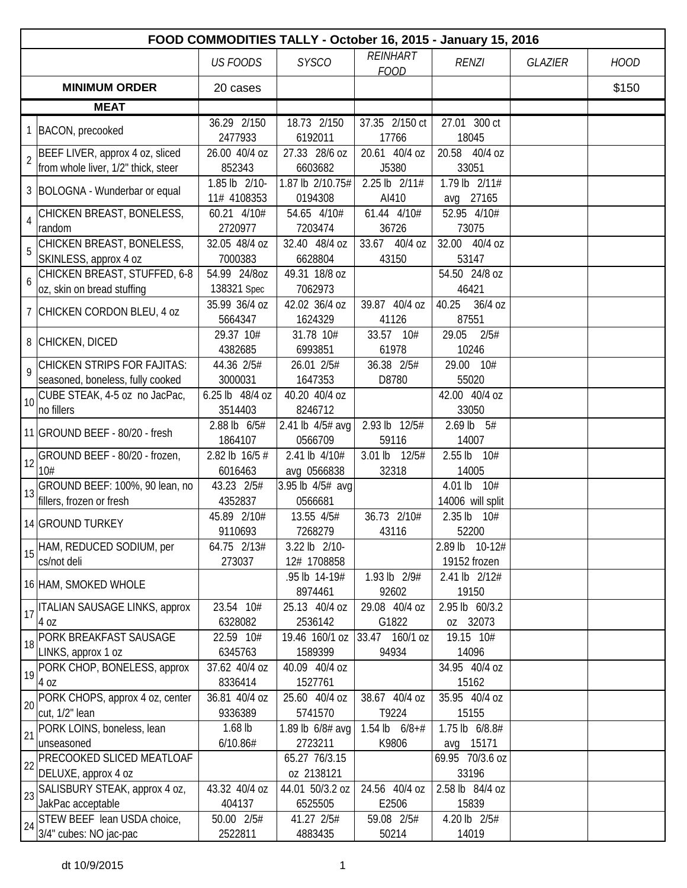|                |                                                                 |                            |                               |                                | FOOD COMMODITIES TALLY - October 16, 2015 - January 15, 2016 |                |             |
|----------------|-----------------------------------------------------------------|----------------------------|-------------------------------|--------------------------------|--------------------------------------------------------------|----------------|-------------|
|                |                                                                 | <b>US FOODS</b>            | <b>SYSCO</b>                  | <b>REINHART</b><br><b>FOOD</b> | <b>RENZI</b>                                                 | <b>GLAZIER</b> | <b>HOOD</b> |
|                | <b>MINIMUM ORDER</b>                                            | 20 cases                   |                               |                                |                                                              |                | \$150       |
|                | <b>MEAT</b>                                                     |                            |                               |                                |                                                              |                |             |
|                | 1 BACON, precooked                                              | 36.29 2/150                | 18.73 2/150                   | 37.35 2/150 ct                 | 27.01 300 ct                                                 |                |             |
|                |                                                                 | 2477933                    | 6192011                       | 17766                          | 18045                                                        |                |             |
| $\overline{2}$ | BEEF LIVER, approx 4 oz, sliced                                 | 26.00 40/4 oz              | 27.33 28/6 oz                 | 20.61 40/4 oz                  | 20.58 40/4 oz                                                |                |             |
|                | from whole liver, 1/2" thick, steer                             | 852343                     | 6603682                       | J5380                          | 33051                                                        |                |             |
|                | 3 BOLOGNA - Wunderbar or equal                                  | 1.85 lb 2/10-              | 1.87 lb 2/10.75#              | 2.25 lb 2/11#                  | 1.79 lb 2/11#                                                |                |             |
|                |                                                                 | 11# 4108353<br>60.21 4/10# | 0194308<br>54.65 4/10#        | AI410<br>61.44 4/10#           | avg 27165<br>52.95 4/10#                                     |                |             |
| $\overline{4}$ | CHICKEN BREAST, BONELESS,<br>random                             | 2720977                    | 7203474                       | 36726                          | 73075                                                        |                |             |
|                | CHICKEN BREAST, BONELESS,                                       | 32.05 48/4 oz              | 32.40 48/4 oz                 | 33.67 40/4 oz                  | 32.00 40/4 oz                                                |                |             |
| 5              | SKINLESS, approx 4 oz                                           | 7000383                    | 6628804                       | 43150                          | 53147                                                        |                |             |
|                | CHICKEN BREAST, STUFFED, 6-8                                    | 54.99 24/8oz               | 49.31 18/8 oz                 |                                | 54.50 24/8 oz                                                |                |             |
| 6              | oz, skin on bread stuffing                                      | 138321 Spec                | 7062973                       |                                | 46421                                                        |                |             |
|                | 7 CHICKEN CORDON BLEU, 4 oz                                     | 35.99 36/4 oz              | 42.02 36/4 oz                 | 39.87 40/4 oz                  | 40.25<br>36/4 oz                                             |                |             |
|                |                                                                 | 5664347                    | 1624329                       | 41126                          | 87551                                                        |                |             |
|                | 8 CHICKEN, DICED                                                | 29.37 10#                  | 31.78 10#                     | 33.57 10#                      | 29.05<br>2/5#                                                |                |             |
|                |                                                                 | 4382685                    | 6993851                       | 61978                          | 10246                                                        |                |             |
| $\overline{9}$ | CHICKEN STRIPS FOR FAJITAS:                                     | 44.36 2/5#                 | 26.01 2/5#                    | 36.38 2/5#                     | 29.00 10#                                                    |                |             |
|                | seasoned, boneless, fully cooked                                | 3000031                    | 1647353                       | D8780                          | 55020                                                        |                |             |
|                | $\left  10 \right $ CUBE STEAK, 4-5 oz no JacPac,<br>no fillers | 6.25 lb 48/4 oz<br>3514403 | 40.20 40/4 oz<br>8246712      |                                | 42.00 40/4 oz<br>33050                                       |                |             |
|                |                                                                 | 2.88 lb 6/5#               | 2.41 lb 4/5# avg              | 2.93 lb 12/5#                  | $2.69$ lb $5#$                                               |                |             |
|                | 11 GROUND BEEF - 80/20 - fresh                                  | 1864107                    | 0566709                       | 59116                          | 14007                                                        |                |             |
|                | GROUND BEEF - 80/20 - frozen,                                   | 2.82 lb 16/5 #             | 2.41 lb 4/10#                 | 3.01 lb 12/5#                  | 2.55 lb 10#                                                  |                |             |
| 12             | 10#                                                             | 6016463                    | avg 0566838                   | 32318                          | 14005                                                        |                |             |
|                | GROUND BEEF: 100%, 90 lean, no                                  | 43.23 2/5#                 | 3.95 lb 4/5# avg              |                                | 4.01 lb 10#                                                  |                |             |
| 13             | fillers, frozen or fresh                                        | 4352837                    | 0566681                       |                                | 14006 will split                                             |                |             |
|                | 14 GROUND TURKEY                                                | 45.89 2/10#                | 13.55 4/5#                    | 36.73 2/10#                    | 2.35 lb 10#                                                  |                |             |
|                |                                                                 | 9110693                    | 7268279                       | 43116                          | 52200                                                        |                |             |
| 15             | HAM, REDUCED SODIUM, per                                        | 64.75 2/13#                | 3.22 lb 2/10-                 |                                | 2.89 lb 10-12#                                               |                |             |
|                | cs/not deli                                                     | 273037                     | 12# 1708858                   |                                | 19152 frozen                                                 |                |             |
|                | 16 HAM, SMOKED WHOLE                                            |                            | .95 lb 14-19#                 | 1.93 lb 2/9#                   | 2.41 lb 2/12#                                                |                |             |
|                | ITALIAN SAUSAGE LINKS, approx                                   | 23.54 10#                  | 8974461<br>25.13 40/4 oz      | 92602<br>29.08 40/4 oz         | 19150<br>2.95 lb 60/3.2                                      |                |             |
| 17             | 4 oz                                                            | 6328082                    | 2536142                       | G1822                          | oz 32073                                                     |                |             |
|                | PORK BREAKFAST SAUSAGE                                          | 22.59 10#                  | 19.46 160/1 oz                | 33.47 160/1 oz                 | 19.15 10#                                                    |                |             |
| 18             | LINKS, approx 1 oz                                              | 6345763                    | 1589399                       | 94934                          | 14096                                                        |                |             |
| 19             | PORK CHOP, BONELESS, approx                                     | 37.62 40/4 oz              | 40.09 40/4 oz                 |                                | 34.95 40/4 oz                                                |                |             |
|                | 4 oz                                                            | 8336414                    | 1527761                       |                                | 15162                                                        |                |             |
| 20             | PORK CHOPS, approx 4 oz, center                                 | 36.81 40/4 oz              | 25.60 40/4 oz                 | 38.67 40/4 oz                  | 35.95 40/4 oz                                                |                |             |
|                | cut, 1/2" lean                                                  | 9336389                    | 5741570                       | T9224                          | 15155                                                        |                |             |
| 21             | PORK LOINS, boneless, lean                                      | $1.68$ lb                  | 1.89 lb 6/8# avg              | 1.54 lb $6/8+#$                | 1.75 lb 6/8.8#                                               |                |             |
|                | unseasoned                                                      | 6/10.86#                   | 2723211                       | K9806                          | avg 15171                                                    |                |             |
| 22             | PRECOOKED SLICED MEATLOAF                                       |                            | 65.27 76/3.15                 |                                | 69.95 70/3.6 oz                                              |                |             |
|                | DELUXE, approx 4 oz<br>SALISBURY STEAK, approx 4 oz,            | 43.32 40/4 oz              | oz 2138121<br>44.01 50/3.2 oz | 24.56 40/4 oz                  | 33196<br>2.58 lb 84/4 oz                                     |                |             |
| 23             | JakPac acceptable                                               | 404137                     | 6525505                       | E2506                          | 15839                                                        |                |             |
|                | STEW BEEF lean USDA choice,                                     | 50.00 2/5#                 | 41.27 2/5#                    | 59.08 2/5#                     | 4.20 lb 2/5#                                                 |                |             |
| 24             | 3/4" cubes: NO jac-pac                                          | 2522811                    | 4883435                       | 50214                          | 14019                                                        |                |             |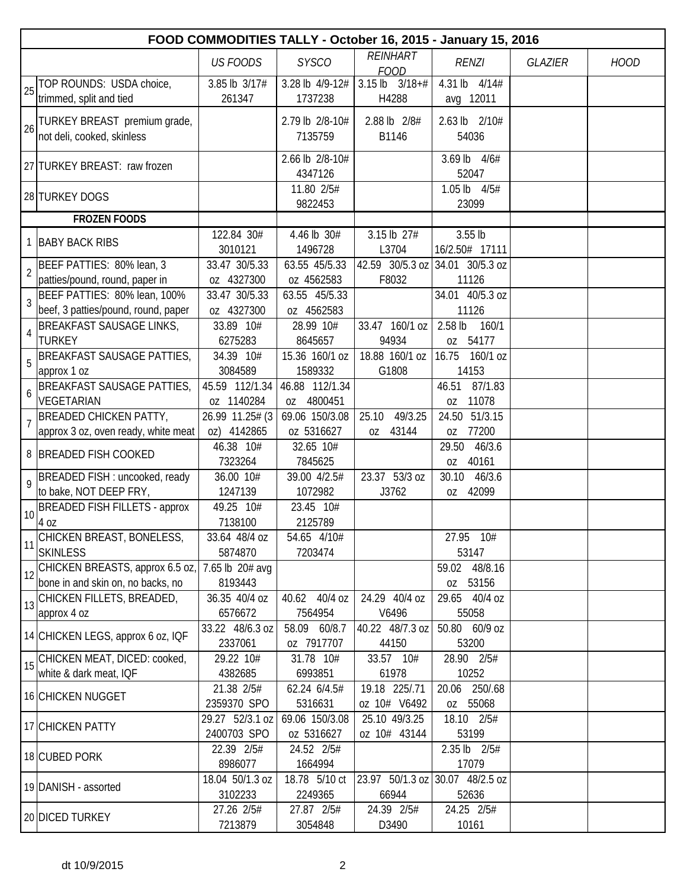|                | FOOD COMMODITIES TALLY - October 16, 2015 - January 15, 2016         |                                |                              |                                 |                                          |                |             |  |  |
|----------------|----------------------------------------------------------------------|--------------------------------|------------------------------|---------------------------------|------------------------------------------|----------------|-------------|--|--|
|                |                                                                      | <b>US FOODS</b>                | <b>SYSCO</b>                 | <b>REINHART</b><br><b>FOOD</b>  | <b>RENZI</b>                             | <b>GLAZIER</b> | <b>HOOD</b> |  |  |
| 25             | TOP ROUNDS: USDA choice,<br>trimmed, split and tied                  | 3.85 lb 3/17#<br>261347        | 3.28 lb 4/9-12#<br>1737238   | $3.15$ lb $3/18+#$<br>H4288     | 4.31 lb 4/14#<br>avg 12011               |                |             |  |  |
| 26             | TURKEY BREAST premium grade,<br>not deli, cooked, skinless           |                                | 2.79 lb 2/8-10#<br>7135759   | 2.88 lb 2/8#<br>B1146           | 2.63 lb 2/10#<br>54036                   |                |             |  |  |
|                | 27 TURKEY BREAST: raw frozen                                         |                                | 2.66 lb 2/8-10#<br>4347126   |                                 | 3.69 lb 4/6#<br>52047                    |                |             |  |  |
|                | 28 TURKEY DOGS                                                       |                                | 11.80 2/5#<br>9822453        |                                 | 1.05 lb $4/5#$<br>23099                  |                |             |  |  |
|                | <b>FROZEN FOODS</b>                                                  |                                |                              |                                 |                                          |                |             |  |  |
|                | 1 BABY BACK RIBS                                                     | 122.84 30#<br>3010121          | 4.46 lb 30#<br>1496728       | 3.15 lb 27#<br>L3704            | $3.55$ lb<br>16/2.50# 17111              |                |             |  |  |
| $\overline{2}$ | BEEF PATTIES: 80% lean, 3<br>patties/pound, round, paper in          | 33.47 30/5.33<br>oz 4327300    | 63.55 45/5.33<br>oz 4562583  | F8032                           | 42.59 30/5.3 oz 34.01 30/5.3 oz<br>11126 |                |             |  |  |
| $\overline{3}$ | BEEF PATTIES: 80% lean, 100%<br>beef, 3 patties/pound, round, paper  | 33.47 30/5.33<br>oz 4327300    | 63.55 45/5.33<br>oz 4562583  |                                 | 34.01 40/5.3 oz<br>11126                 |                |             |  |  |
| 4              | <b>BREAKFAST SAUSAGE LINKS,</b><br><b>TURKEY</b>                     | 33.89 10#<br>6275283           | 28.99 10#<br>8645657         | 33.47 160/1 oz<br>94934         | 2.58 lb<br>160/1<br>oz 54177             |                |             |  |  |
| 5              | <b>BREAKFAST SAUSAGE PATTIES,</b><br>approx 1 oz                     | 34.39 10#<br>3084589           | 15.36 160/1 oz<br>1589332    | 18.88 160/1 oz<br>G1808         | 16.75 160/1 oz<br>14153                  |                |             |  |  |
| 6              | <b>BREAKFAST SAUSAGE PATTIES,</b><br>VEGETARIAN                      | 45.59 112/1.34<br>oz 1140284   | 46.88 112/1.34<br>oz 4800451 |                                 | 87/1.83<br>46.51<br>11078<br>0Z          |                |             |  |  |
| $\overline{7}$ | <b>BREADED CHICKEN PATTY,</b><br>approx 3 oz, oven ready, white meat | 26.99 11.25# (3<br>oz) 4142865 | 69.06 150/3.08<br>oz 5316627 | 49/3.25<br>25.10<br>43144<br>0Z | 24.50 51/3.15<br>oz 77200                |                |             |  |  |
|                | 8 BREADED FISH COOKED                                                | 46.38 10#<br>7323264           | 32.65 10#<br>7845625         |                                 | 46/3.6<br>29.50<br>40161<br>0Z           |                |             |  |  |
| $\overline{9}$ | BREADED FISH : uncooked, ready<br>to bake, NOT DEEP FRY,             | 36.00 10#<br>1247139           | 39.00 4/2.5#<br>1072982      | 23.37 53/3 oz<br>J3762          | 30.10<br>46/3.6<br>oz 42099              |                |             |  |  |
| 10             | <b>BREADED FISH FILLETS - approx</b><br>4 oz                         | 49.25 10#<br>7138100           | 23.45 10#<br>2125789         |                                 |                                          |                |             |  |  |
| 11             | CHICKEN BREAST, BONELESS,<br><b>SKINLESS</b>                         | 33.64 48/4 oz<br>5874870       | 54.65 4/10#<br>7203474       |                                 | 27.95 10#<br>53147                       |                |             |  |  |
| 12             | CHICKEN BREASTS, approx 6.5 oz,<br>bone in and skin on, no backs, no | 7.65 lb 20# avg<br>8193443     |                              |                                 | 59.02 48/8.16<br>53156<br>0Z             |                |             |  |  |
|                | 13 CHICKEN FILLETS, BREADED,<br>approx 4 oz                          | 36.35 40/4 oz<br>6576672       | 40.62 40/4 oz<br>7564954     | 24.29 40/4 oz<br>V6496          | 29.65 40/4 oz<br>55058                   |                |             |  |  |
|                | 14 CHICKEN LEGS, approx 6 oz, IQF                                    | 33.22 48/6.3 oz<br>2337061     | 58.09 60/8.7<br>oz 7917707   | 40.22 48/7.3 oz<br>44150        | 50.80 60/9 oz<br>53200                   |                |             |  |  |
|                | 15 CHICKEN MEAT, DICED: cooked,<br>white & dark meat, IQF            | 29.22 10#<br>4382685           | 31.78 10#<br>6993851         | 33.57 10#<br>61978              | 28.90 2/5#<br>10252                      |                |             |  |  |
|                | 16 CHICKEN NUGGET                                                    | 21.38 2/5#<br>2359370 SPO      | 62.24 6/4.5#<br>5316631      | 19.18 225/.71<br>oz 10# V6492   | 250/.68<br>20.06<br>55068<br>0Z          |                |             |  |  |
|                | 17 CHICKEN PATTY                                                     | 29.27 52/3.1 oz<br>2400703 SPO | 69.06 150/3.08<br>oz 5316627 | 25.10 49/3.25<br>oz 10# 43144   | 18.10 2/5#<br>53199                      |                |             |  |  |
|                | 18 CUBED PORK                                                        | 22.39 2/5#<br>8986077          | 24.52 2/5#<br>1664994        |                                 | $2.35$ lb $2/5#$<br>17079                |                |             |  |  |
|                | 19 DANISH - assorted                                                 | 18.04 50/1.3 oz<br>3102233     | 18.78 5/10 ct<br>2249365     | 66944                           | 23.97 50/1.3 oz 30.07 48/2.5 oz<br>52636 |                |             |  |  |
|                | 20 DICED TURKEY                                                      | 27.26 2/5#<br>7213879          | 27.87 2/5#<br>3054848        | 24.39 2/5#<br>D3490             | 24.25 2/5#<br>10161                      |                |             |  |  |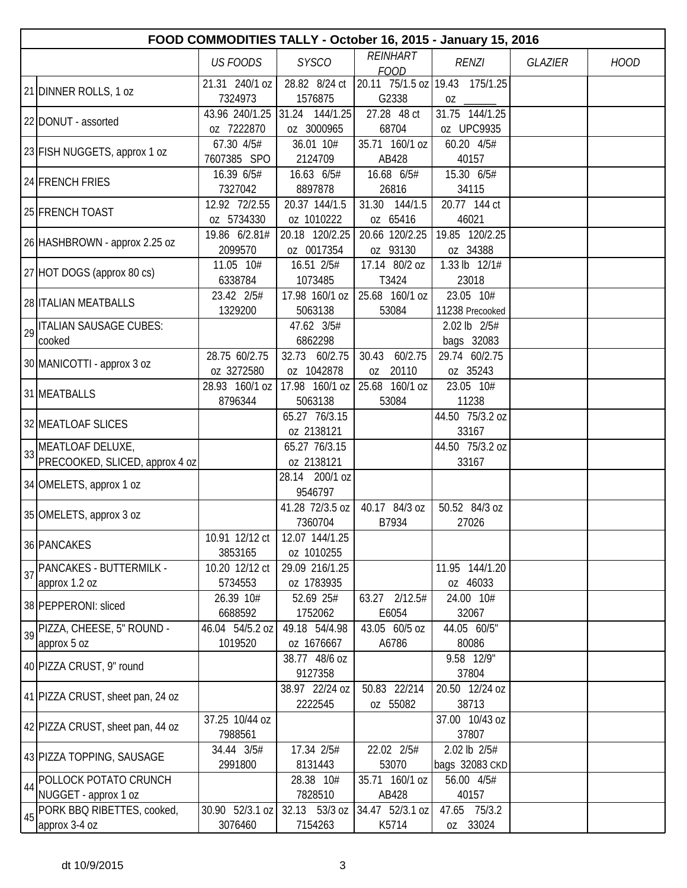|    | FOOD COMMODITIES TALLY - October 16, 2015 - January 15, 2016 |                           |                              |                                |                                |                |             |  |  |  |
|----|--------------------------------------------------------------|---------------------------|------------------------------|--------------------------------|--------------------------------|----------------|-------------|--|--|--|
|    |                                                              | <b>US FOODS</b>           | <b>SYSCO</b>                 | <b>REINHART</b><br><b>FOOD</b> | <b>RENZI</b>                   | <b>GLAZIER</b> | <b>HOOD</b> |  |  |  |
|    |                                                              | 21.31 240/1 oz            | 28.82 8/24 ct                |                                | 20.11 75/1.5 oz 19.43 175/1.25 |                |             |  |  |  |
|    | 21 DINNER ROLLS, 1 oz                                        | 7324973                   | 1576875                      | G2338                          |                                |                |             |  |  |  |
|    | 22 DONUT - assorted                                          | 43.96 240/1.25            | 31.24 144/1.25               | 27.28 48 ct                    | 31.75 144/1.25                 |                |             |  |  |  |
|    |                                                              | oz 7222870                | oz 3000965                   | 68704                          | oz UPC9935                     |                |             |  |  |  |
|    | 23 FISH NUGGETS, approx 1 oz                                 | 67.30 4/5#                | 36.01 10#                    | 35.71 160/1 oz                 | 60.20 4/5#                     |                |             |  |  |  |
|    |                                                              | 7607385 SPO               | 2124709                      | AB428                          | 40157                          |                |             |  |  |  |
|    | 24 FRENCH FRIES                                              | 16.39 6/5#                | 16.63 6/5#                   | 16.68 6/5#                     | 15.30 6/5#                     |                |             |  |  |  |
|    |                                                              | 7327042                   | 8897878                      | 26816                          | 34115                          |                |             |  |  |  |
|    | 25 FRENCH TOAST                                              | 12.92 72/2.55             | 20.37 144/1.5                | 31.30 144/1.5                  | 20.77 144 ct                   |                |             |  |  |  |
|    |                                                              | oz 5734330                | oz 1010222                   | oz 65416                       | 46021                          |                |             |  |  |  |
|    | 26 HASHBROWN - approx 2.25 oz                                | 19.86 6/2.81#             | 20.18 120/2.25               | 20.66 120/2.25                 | 19.85 120/2.25                 |                |             |  |  |  |
|    |                                                              | 2099570                   | oz 0017354                   | oz 93130                       | oz 34388                       |                |             |  |  |  |
|    | 27 HOT DOGS (approx 80 cs)                                   | 11.05 10#                 | 16.51 2/5#                   | 17.14 80/2 oz                  | 1.33 lb 12/1#                  |                |             |  |  |  |
|    |                                                              | 6338784                   | 1073485                      | T3424                          | 23018                          |                |             |  |  |  |
|    | 28 <b>ITALIAN MEATBALLS</b>                                  | 23.42 2/5#                | 17.98 160/1 oz               | 25.68 160/1 oz                 | 23.05 10#                      |                |             |  |  |  |
|    |                                                              | 1329200                   | 5063138                      | 53084                          | 11238 Precooked                |                |             |  |  |  |
| 29 | <b>ITALIAN SAUSAGE CUBES:</b>                                |                           | 47.62 3/5#                   |                                | 2.02 lb 2/5#                   |                |             |  |  |  |
|    | cooked                                                       |                           | 6862298                      |                                | bags 32083                     |                |             |  |  |  |
|    | 30 MANICOTTI - approx 3 oz                                   | 28.75 60/2.75             | 32.73 60/2.75                | 60/2.75<br>30.43               | 29.74 60/2.75                  |                |             |  |  |  |
|    |                                                              | oz 3272580                | oz 1042878                   | oz 20110                       | oz 35243                       |                |             |  |  |  |
|    | 31 MEATBALLS                                                 | 28.93 160/1 oz            | 17.98 160/1 oz               | 25.68 160/1 oz                 | 23.05 10#                      |                |             |  |  |  |
|    |                                                              | 8796344                   | 5063138                      | 53084                          | 11238                          |                |             |  |  |  |
|    | 32 MEATLOAF SLICES                                           |                           | 65.27 76/3.15                |                                | 44.50 75/3.2 oz                |                |             |  |  |  |
|    |                                                              |                           | oz 2138121                   |                                | 33167                          |                |             |  |  |  |
| 33 | MEATLOAF DELUXE,                                             |                           | 65.27 76/3.15                |                                | 44.50 75/3.2 oz                |                |             |  |  |  |
|    | PRECOOKED, SLICED, approx 4 oz                               |                           | oz 2138121                   |                                | 33167                          |                |             |  |  |  |
|    | 34 OMELETS, approx 1 oz                                      |                           | 28.14 200/1 oz               |                                |                                |                |             |  |  |  |
|    |                                                              |                           | 9546797                      |                                |                                |                |             |  |  |  |
|    | 35 OMELETS, approx 3 oz                                      |                           | 41.28 72/3.5 oz              | 40.17 84/3 oz                  | 50.52 84/3 oz                  |                |             |  |  |  |
|    |                                                              |                           | 7360704                      | B7934                          | 27026                          |                |             |  |  |  |
|    | 36 PANCAKES                                                  | 10.91 12/12 ct<br>3853165 | 12.07 144/1.25<br>oz 1010255 |                                |                                |                |             |  |  |  |
|    | PANCAKES - BUTTERMILK -                                      | 10.20 12/12 ct            | 29.09 216/1.25               |                                | 11.95 144/1.20                 |                |             |  |  |  |
| 37 | approx 1.2 oz                                                | 5734553                   | oz 1783935                   |                                | oz 46033                       |                |             |  |  |  |
|    |                                                              | 26.39 10#                 | 52.69 25#                    | 63.27 2/12.5#                  | 24.00 10#                      |                |             |  |  |  |
|    | 38 PEPPERONI: sliced                                         | 6688592                   | 1752062                      | E6054                          | 32067                          |                |             |  |  |  |
|    | 39 PIZZA, CHEESE, 5" ROUND -                                 | 46.04 54/5.2 oz           | 49.18 54/4.98                | 43.05 60/5 oz                  | 44.05 60/5"                    |                |             |  |  |  |
|    | approx 5 oz                                                  | 1019520                   | oz 1676667                   | A6786                          | 80086                          |                |             |  |  |  |
|    |                                                              |                           | 38.77 48/6 oz                |                                | 9.58 12/9"                     |                |             |  |  |  |
|    | 40 PIZZA CRUST, 9" round                                     |                           | 9127358                      |                                | 37804                          |                |             |  |  |  |
|    |                                                              |                           | 38.97 22/24 oz               | 50.83 22/214                   | 20.50 12/24 oz                 |                |             |  |  |  |
|    | 41 PIZZA CRUST, sheet pan, 24 oz                             |                           | 2222545                      | oz 55082                       | 38713                          |                |             |  |  |  |
|    |                                                              | 37.25 10/44 oz            |                              |                                | 37.00 10/43 oz                 |                |             |  |  |  |
|    | 42 PIZZA CRUST, sheet pan, 44 oz                             | 7988561                   |                              |                                | 37807                          |                |             |  |  |  |
|    |                                                              | 34.44 3/5#                | 17.34 2/5#                   | 22.02 2/5#                     | 2.02 lb 2/5#                   |                |             |  |  |  |
|    | 43 PIZZA TOPPING, SAUSAGE                                    | 2991800                   | 8131443                      | 53070                          | bags 32083 CKD                 |                |             |  |  |  |
|    | POLLOCK POTATO CRUNCH                                        |                           | 28.38 10#                    | 35.71 160/1 oz                 | 56.00 4/5#                     |                |             |  |  |  |
| 44 | NUGGET - approx 1 oz                                         |                           | 7828510                      | AB428                          | 40157                          |                |             |  |  |  |
| 45 | PORK BBQ RIBETTES, cooked,                                   | 30.90 52/3.1 oz           | 32.13 53/3 oz                | 34.47 52/3.1 oz                | 47.65 75/3.2                   |                |             |  |  |  |
|    | approx 3-4 oz                                                | 3076460                   | 7154263                      | K5714                          | oz 33024                       |                |             |  |  |  |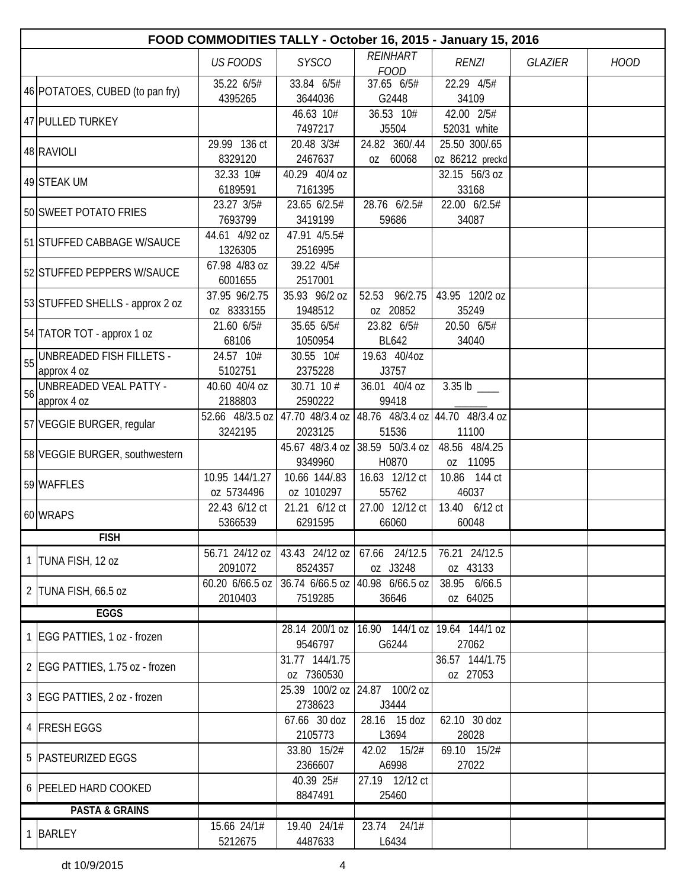| FOOD COMMODITIES TALLY - October 16, 2015 - January 15, 2016 |                          |                                                 |                                                  |                                 |                |             |  |  |  |
|--------------------------------------------------------------|--------------------------|-------------------------------------------------|--------------------------------------------------|---------------------------------|----------------|-------------|--|--|--|
|                                                              | <b>US FOODS</b>          | <b>SYSCO</b>                                    | <b>REINHART</b>                                  | <b>RENZI</b>                    | <b>GLAZIER</b> | <b>HOOD</b> |  |  |  |
|                                                              | 35.22 6/5#               | 33.84 6/5#                                      | <b>FOOD</b><br>37.65 6/5#                        | 22.29 4/5#                      |                |             |  |  |  |
| 46 POTATOES, CUBED (to pan fry)                              | 4395265                  | 3644036                                         | G2448                                            | 34109                           |                |             |  |  |  |
|                                                              |                          | 46.63 10#                                       | 36.53 10#                                        | 42.00 2/5#                      |                |             |  |  |  |
| 47 PULLED TURKEY                                             |                          | 7497217                                         | J5504                                            | 52031 white                     |                |             |  |  |  |
| 48 RAVIOLI                                                   | 29.99 136 ct             | 20.48 3/3#                                      | 24.82 360/.44                                    | 25.50 300/.65                   |                |             |  |  |  |
|                                                              | 8329120                  | 2467637                                         | oz 60068                                         | oz 86212 preckd                 |                |             |  |  |  |
| 49 STEAK UM                                                  | 32.33 10#                | 40.29 40/4 oz                                   |                                                  | 32.15 56/3 oz                   |                |             |  |  |  |
|                                                              | 6189591                  | 7161395                                         |                                                  | 33168                           |                |             |  |  |  |
| 50 SWEET POTATO FRIES                                        | 23.27 3/5#               | 23.65 6/2.5#                                    | 28.76 6/2.5#                                     | 22.00 6/2.5#                    |                |             |  |  |  |
|                                                              | 7693799<br>44.61 4/92 oz | 3419199<br>47.91 4/5.5#                         | 59686                                            | 34087                           |                |             |  |  |  |
| 51 STUFFED CABBAGE W/SAUCE                                   | 1326305                  | 2516995                                         |                                                  |                                 |                |             |  |  |  |
|                                                              | 67.98 4/83 oz            | 39.22 4/5#                                      |                                                  |                                 |                |             |  |  |  |
| 52 STUFFED PEPPERS W/SAUCE                                   | 6001655                  | 2517001                                         |                                                  |                                 |                |             |  |  |  |
|                                                              | 37.95 96/2.75            | 35.93 96/2 oz                                   | 52.53 96/2.75                                    | 43.95 120/2 oz                  |                |             |  |  |  |
| 53 STUFFED SHELLS - approx 2 oz                              | oz 8333155               | 1948512                                         | oz 20852                                         | 35249                           |                |             |  |  |  |
|                                                              | 21.60 6/5#               | 35.65 6/5#                                      | 23.82 6/5#                                       | 20.50 6/5#                      |                |             |  |  |  |
| 54 TATOR TOT - approx 1 oz                                   | 68106                    | 1050954                                         | <b>BL642</b>                                     | 34040                           |                |             |  |  |  |
| 55 UNBREADED FISH FILLETS -                                  | 24.57 10#                | 30.55 10#                                       | 19.63 40/4oz                                     |                                 |                |             |  |  |  |
| approx 4 oz                                                  | 5102751                  | 2375228                                         | J3757                                            |                                 |                |             |  |  |  |
| 56 UNBREADED VEAL PATTY -                                    | 40.60 40/4 oz            | 30.71 10 #                                      | 36.01 40/4 oz                                    | $3.35$ lb ____                  |                |             |  |  |  |
| approx 4 oz                                                  | 2188803                  | 2590222                                         | 99418                                            |                                 |                |             |  |  |  |
| 57 VEGGIE BURGER, regular                                    | 52.66 48/3.5 oz          | 47.70 48/3.4 oz                                 |                                                  | 48.76 48/3.4 oz 44.70 48/3.4 oz |                |             |  |  |  |
|                                                              | 3242195                  | 2023125                                         | 51536                                            | 11100                           |                |             |  |  |  |
| 58 VEGGIE BURGER, southwestern                               |                          | 9349960                                         | 45.67 48/3.4 oz 38.59 50/3.4 oz<br>H0870         | 48.56 48/4.25<br>oz 11095       |                |             |  |  |  |
|                                                              | 10.95 144/1.27           | 10.66 144/.83                                   | 16.63 12/12 ct                                   | 10.86 144 ct                    |                |             |  |  |  |
| 59 WAFFLES                                                   | oz 5734496               | oz 1010297                                      | 55762                                            | 46037                           |                |             |  |  |  |
|                                                              | 22.43 6/12 ct            | 21.21 6/12 ct                                   | 27.00 12/12 ct                                   | 13.40 6/12 ct                   |                |             |  |  |  |
| 60 WRAPS                                                     | 5366539                  | 6291595                                         | 66060                                            | 60048                           |                |             |  |  |  |
| <b>FISH</b>                                                  |                          |                                                 |                                                  |                                 |                |             |  |  |  |
| 1  TUNA FISH, 12 oz                                          |                          | 56.71 24/12 oz   43.43 24/12 oz   67.66 24/12.5 |                                                  | 76.21 24/12.5                   |                |             |  |  |  |
|                                                              | 2091072                  | 8524357                                         | oz J3248                                         | oz 43133                        |                |             |  |  |  |
| 2   TUNA FISH, 66.5 oz                                       | 60.20 6/66.5 oz          |                                                 | 36.74 6/66.5 oz 40.98 6/66.5 oz                  | 38.95 6/66.5                    |                |             |  |  |  |
|                                                              | 2010403                  | 7519285                                         | 36646                                            | oz 64025                        |                |             |  |  |  |
| <b>EGGS</b>                                                  |                          |                                                 |                                                  |                                 |                |             |  |  |  |
| 1 EGG PATTIES, 1 oz - frozen                                 |                          |                                                 | 28.14 200/1 oz   16.90 144/1 oz   19.64 144/1 oz |                                 |                |             |  |  |  |
|                                                              |                          | 9546797                                         | G6244                                            | 27062                           |                |             |  |  |  |
| 2 EGG PATTIES, 1.75 oz - frozen                              |                          | 31.77 144/1.75<br>oz 7360530                    |                                                  | 36.57 144/1.75<br>oz 27053      |                |             |  |  |  |
|                                                              |                          |                                                 | 25.39 100/2 oz 24.87 100/2 oz                    |                                 |                |             |  |  |  |
| 3 EGG PATTIES, 2 oz - frozen                                 |                          | 2738623                                         | J3444                                            |                                 |                |             |  |  |  |
|                                                              |                          | 67.66 30 doz                                    | 28.16 15 doz                                     | 62.10 30 doz                    |                |             |  |  |  |
| 4 FRESH EGGS                                                 |                          | 2105773                                         | L3694                                            | 28028                           |                |             |  |  |  |
| 5   PASTEURIZED EGGS                                         |                          | 33.80 15/2#                                     | 42.02 15/2#                                      | 69.10 15/2#                     |                |             |  |  |  |
|                                                              |                          | 2366607                                         | A6998                                            | 27022                           |                |             |  |  |  |
| 6 PEELED HARD COOKED                                         |                          | 40.39 25#                                       | 27.19 12/12 ct                                   |                                 |                |             |  |  |  |
|                                                              |                          | 8847491                                         | 25460                                            |                                 |                |             |  |  |  |
| <b>PASTA &amp; GRAINS</b>                                    |                          |                                                 |                                                  |                                 |                |             |  |  |  |
| 1 BARLEY                                                     | 15.66 24/1#              | 19.40 24/1#                                     | 23.74 24/1#                                      |                                 |                |             |  |  |  |
|                                                              | 5212675                  | 4487633                                         | L6434                                            |                                 |                |             |  |  |  |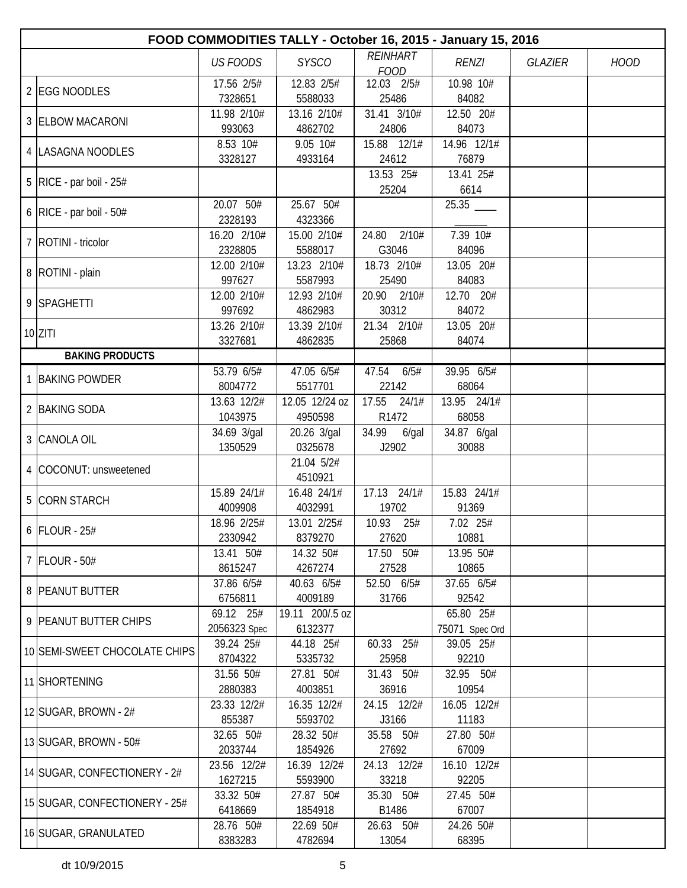| FOOD COMMODITIES TALLY - October 16, 2015 - January 15, 2016 |                           |                            |                                |                             |                |             |  |  |  |
|--------------------------------------------------------------|---------------------------|----------------------------|--------------------------------|-----------------------------|----------------|-------------|--|--|--|
|                                                              | <b>US FOODS</b>           | <b>SYSCO</b>               | <b>REINHART</b><br><b>FOOD</b> | <b>RENZI</b>                | <b>GLAZIER</b> | <b>HOOD</b> |  |  |  |
| 2 EGG NOODLES                                                | 17.56 2/5#<br>7328651     | 12.83 2/5#<br>5588033      | 12.03 2/5#<br>25486            | 10.98 10#<br>84082          |                |             |  |  |  |
| 3 ELBOW MACARONI                                             | 11.98 2/10#<br>993063     | 13.16 2/10#<br>4862702     | $31.41$ $3/10#$<br>24806       | 12.50 20#<br>84073          |                |             |  |  |  |
| 4  LASAGNA NOODLES                                           | 8.53 10#<br>3328127       | 9.05 10#<br>4933164        | 15.88 12/1#<br>24612           | 14.96 12/1#<br>76879        |                |             |  |  |  |
| $5$ RICE - par boil - 25#                                    |                           |                            | 13.53 25#<br>25204             | 13.41 25#<br>6614           |                |             |  |  |  |
| 6   RICE - par boil - $50#$                                  | 20.07 50#<br>2328193      | 25.67 50#<br>4323366       |                                |                             |                |             |  |  |  |
| 7   ROTINI - tricolor                                        | 16.20 2/10#<br>2328805    | 15.00 2/10#<br>5588017     | 2/10#<br>24.80<br>G3046        | 7.39 10#<br>84096           |                |             |  |  |  |
| 8   ROTINI - plain                                           | 12.00 2/10#<br>997627     | 13.23 2/10#<br>5587993     | 18.73 2/10#<br>25490           | 13.05 20#<br>84083          |                |             |  |  |  |
| 9 SPAGHETTI                                                  | 12.00 2/10#<br>997692     | 12.93 2/10#<br>4862983     | 20.90 2/10#<br>30312           | 12.70 20#<br>84072          |                |             |  |  |  |
| $10$  ZITI                                                   | 13.26 2/10#<br>3327681    | 13.39 2/10#<br>4862835     | 21.34 2/10#<br>25868           | 13.05 20#<br>84074          |                |             |  |  |  |
| <b>BAKING PRODUCTS</b>                                       |                           |                            |                                |                             |                |             |  |  |  |
| 1 BAKING POWDER                                              | 53.796/5#<br>8004772      | $47.05$ 6/5#<br>5517701    | 6/5#<br>47.54<br>22142         | 39.95 6/5#<br>68064         |                |             |  |  |  |
| 2 BAKING SODA                                                | 13.63 12/2#<br>1043975    | 12.05 12/24 oz<br>4950598  | 17.55<br>24/1#<br>R1472        | 13.95 24/1#<br>68058        |                |             |  |  |  |
| 3 CANOLA OIL                                                 | 34.69 3/gal<br>1350529    | 20.26 3/gal<br>0325678     | 34.99<br>$6$ /gal<br>J2902     | 34.87 6/gal<br>30088        |                |             |  |  |  |
| 4 COCONUT: unsweetened                                       |                           | 21.04 5/2#<br>4510921      |                                |                             |                |             |  |  |  |
| 5 CORN STARCH                                                | 15.89 24/1#<br>4009908    | 16.48 24/1#<br>4032991     | 17.13 24/1#<br>19702           | 15.83 24/1#<br>91369        |                |             |  |  |  |
| $6$ FLOUR - 25#                                              | 18.96 2/25#<br>2330942    | 13.01 2/25#<br>8379270     | 10.93<br>25#<br>27620          | 7.02 25#<br>10881           |                |             |  |  |  |
| 7 FLOUR - 50#                                                | 13.41 50#<br>8615247      | 14.32 50#<br>4267274       | 17.50 50#<br>27528             | 13.95 50#<br>10865          |                |             |  |  |  |
| 8 PEANUT BUTTER                                              | 37.86 6/5#<br>6756811     | 40.63 6/5#<br>4009189      | 52.50 6/5#<br>31766            | 37.65 6/5#<br>92542         |                |             |  |  |  |
| 9 PEANUT BUTTER CHIPS                                        | 69.12 25#<br>2056323 Spec | 19.11 200/.5 oz<br>6132377 |                                | 65.80 25#<br>75071 Spec Ord |                |             |  |  |  |
| 10 SEMI-SWEET CHOCOLATE CHIPS                                | 39.24 25#<br>8704322      | 44.18 25#<br>5335732       | 60.33 25#<br>25958             | 39.05 25#<br>92210          |                |             |  |  |  |
| 11 SHORTENING                                                | 31.56 50#<br>2880383      | 27.81 50#<br>4003851       | 31.43 50#<br>36916             | 32.95 50#<br>10954          |                |             |  |  |  |
| 12 SUGAR, BROWN - $2#$                                       | 23.33 12/2#<br>855387     | 16.35 12/2#<br>5593702     | 24.15 12/2#<br>J3166           | 16.05 12/2#<br>11183        |                |             |  |  |  |
| 13 SUGAR, BROWN - 50#                                        | 32.65 50#<br>2033744      | 28.32 50#<br>1854926       | 35.58 50#<br>27692             | 27.80 50#<br>67009          |                |             |  |  |  |
| 14 SUGAR, CONFECTIONERY - 2#                                 | 23.56 12/2#<br>1627215    | 16.39 12/2#<br>5593900     | 24.13 12/2#<br>33218           | 16.10 12/2#<br>92205        |                |             |  |  |  |
| 15 SUGAR, CONFECTIONERY - 25#                                | 33.32 50#<br>6418669      | 27.87 50#<br>1854918       | 35.30 50#<br>B1486             | 27.45 50#<br>67007          |                |             |  |  |  |
| 16 SUGAR, GRANULATED                                         | 28.76 50#<br>8383283      | 22.69 50#<br>4782694       | 26.63 50#<br>13054             | 24.26 50#<br>68395          |                |             |  |  |  |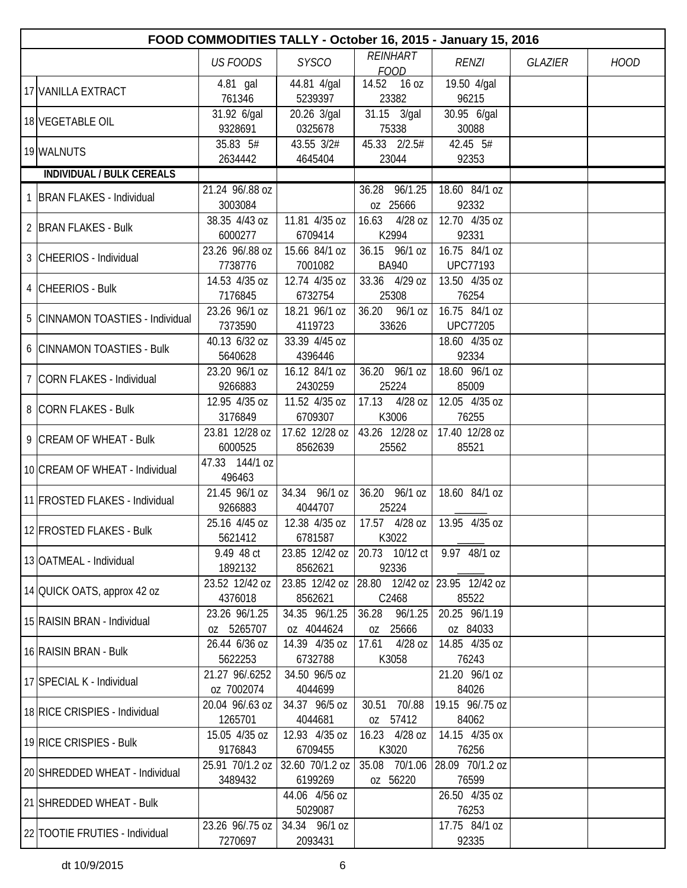| FOOD COMMODITIES TALLY - October 16, 2015 - January 15, 2016 |                            |                            |                               |                          |                |             |  |  |  |
|--------------------------------------------------------------|----------------------------|----------------------------|-------------------------------|--------------------------|----------------|-------------|--|--|--|
|                                                              | <b>US FOODS</b>            | <b>SYSCO</b>               | REINHART                      | <b>RENZI</b>             | <b>GLAZIER</b> | <b>HOOD</b> |  |  |  |
|                                                              | 4.81 gal                   | 44.81 4/gal                | <b>FOOD</b><br>14.52 16 oz    | 19.50 4/gal              |                |             |  |  |  |
| 17 VANILLA EXTRACT                                           | 761346                     | 5239397                    | 23382                         | 96215                    |                |             |  |  |  |
| 18 VEGETABLE OIL                                             | 31.92 6/gal                | 20.26 3/gal                | 31.15 3/gal                   | 30.95 6/gal              |                |             |  |  |  |
|                                                              | 9328691                    | 0325678                    | 75338                         | 30088                    |                |             |  |  |  |
| 19 WALNUTS                                                   | 35.83 5#<br>2634442        | 43.55 3/2#<br>4645404      | 45.33 2/2.5#<br>23044         | 42.45 5#<br>92353        |                |             |  |  |  |
| <b>INDIVIDUAL / BULK CEREALS</b>                             |                            |                            |                               |                          |                |             |  |  |  |
|                                                              | 21.24 96/.88 oz            |                            | 36.28 96/1.25                 | 18.60 84/1 oz            |                |             |  |  |  |
| <b>BRAN FLAKES - Individual</b>                              | 3003084                    |                            | 0Z 25666                      | 92332                    |                |             |  |  |  |
| 2 BRAN FLAKES - Bulk                                         | 38.35 4/43 oz              | 11.81 4/35 oz              | 16.63<br>4/28 oz              | 12.70 4/35 oz            |                |             |  |  |  |
|                                                              | 6000277                    | 6709414                    | K2994                         | 92331                    |                |             |  |  |  |
| 3 CHEERIOS - Individual                                      | 23.26 96/.88 oz            | 15.66 84/1 oz              | 36.15 96/1 oz                 | 16.75 84/1 oz            |                |             |  |  |  |
|                                                              | 7738776                    | 7001082                    | <b>BA940</b>                  | <b>UPC77193</b>          |                |             |  |  |  |
| 4 CHEERIOS - Bulk                                            | 14.53 4/35 oz<br>7176845   | 12.74 4/35 oz<br>6732754   | 33.36 4/29 oz<br>25308        | 13.50 4/35 oz<br>76254   |                |             |  |  |  |
|                                                              | 23.26 96/1 oz              | 18.21 96/1 oz              | 36.20 96/1 oz                 | 16.75 84/1 oz            |                |             |  |  |  |
| 5 CINNAMON TOASTIES - Individual                             | 7373590                    | 4119723                    | 33626                         | <b>UPC77205</b>          |                |             |  |  |  |
|                                                              | 40.13 6/32 oz              | 33.39 4/45 oz              |                               | 18.60 4/35 oz            |                |             |  |  |  |
| 6 CINNAMON TOASTIES - Bulk                                   | 5640628                    | 4396446                    |                               | 92334                    |                |             |  |  |  |
| 7 CORN FLAKES - Individual                                   | 23.20 96/1 oz              | 16.12 84/1 oz              | 36.20 96/1 oz                 | 18.60 96/1 oz            |                |             |  |  |  |
|                                                              | 9266883                    | 2430259                    | 25224                         | 85009                    |                |             |  |  |  |
| 8 CORN FLAKES - Bulk                                         | 12.95 4/35 oz              | 11.52 4/35 oz              | 17.13 4/28 oz                 | 12.05 4/35 oz            |                |             |  |  |  |
|                                                              | 3176849<br>23.81 12/28 oz  | 6709307<br>17.62 12/28 oz  | K3006<br>43.26 12/28 oz       | 76255<br>17.40 12/28 oz  |                |             |  |  |  |
| 9 CREAM OF WHEAT - Bulk                                      | 6000525                    | 8562639                    | 25562                         | 85521                    |                |             |  |  |  |
|                                                              | 47.33 144/1 oz             |                            |                               |                          |                |             |  |  |  |
| 10 CREAM OF WHEAT - Individual                               | 496463                     |                            |                               |                          |                |             |  |  |  |
| 11 FROSTED FLAKES - Individual                               | 21.45 96/1 oz              | 34.34 96/1 oz              | 36.20 96/1 oz                 | 18.60 84/1 oz            |                |             |  |  |  |
|                                                              | 9266883                    | 4044707                    | 25224                         |                          |                |             |  |  |  |
| 12 FROSTED FLAKES - Bulk                                     | 25.16 4/45 oz<br>5621412   | 12.38 4/35 oz<br>6781587   | 17.57 4/28 oz<br>K3022        | 13.95 4/35 oz            |                |             |  |  |  |
|                                                              | 9.49 48 ct                 | 23.85 12/42 oz             | 20.73 10/12 ct                | 9.97 48/1 oz             |                |             |  |  |  |
| 13 OATMEAL - Individual                                      | 1892132                    | 8562621                    | 92336                         |                          |                |             |  |  |  |
|                                                              | 23.52 12/42 oz             | 23.85 12/42 oz             | 28.80 12/42 oz 23.95 12/42 oz |                          |                |             |  |  |  |
| 14 QUICK OATS, approx 42 oz                                  | 4376018                    | 8562621                    | C2468                         | 85522                    |                |             |  |  |  |
| 15 RAISIN BRAN - Individual                                  | 23.26 96/1.25              | 34.35 96/1.25              | 36.28<br>96/1.25              | 20.25 96/1.19            |                |             |  |  |  |
|                                                              | oz 5265707                 | oz 4044624                 | 25666<br>0Z                   | oz 84033                 |                |             |  |  |  |
| 16 RAISIN BRAN - Bulk                                        | 26.44 6/36 oz<br>5622253   | 14.39 4/35 oz<br>6732788   | 17.61<br>4/28 oz<br>K3058     | 14.85 4/35 oz<br>76243   |                |             |  |  |  |
|                                                              | 21.27 96/.6252             | 34.50 96/5 oz              |                               | 21.20 96/1 oz            |                |             |  |  |  |
| 17 SPECIAL K - Individual                                    | oz 7002074                 | 4044699                    |                               | 84026                    |                |             |  |  |  |
|                                                              | 20.04 96/.63 oz            | 34.37 96/5 oz              | 70/.88<br>30.51               | 19.15 96/.75 oz          |                |             |  |  |  |
| 18 RICE CRISPIES - Individual                                | 1265701                    | 4044681                    | oz 57412                      | 84062                    |                |             |  |  |  |
| 19 RICE CRISPIES - Bulk                                      | 15.05 4/35 oz              | 12.93 4/35 oz              | 16.23 4/28 oz                 | 14.15 4/35 ox            |                |             |  |  |  |
|                                                              | 9176843                    | 6709455                    | K3020                         | 76256                    |                |             |  |  |  |
| 20 SHREDDED WHEAT - Individual                               | 25.91 70/1.2 oz<br>3489432 | 32.60 70/1.2 oz<br>6199269 | 35.08 70/1.06<br>oz 56220     | 28.09 70/1.2 oz<br>76599 |                |             |  |  |  |
|                                                              |                            | 44.06 4/56 oz              |                               | 26.50 4/35 oz            |                |             |  |  |  |
| 21 SHREDDED WHEAT - Bulk                                     |                            | 5029087                    |                               | 76253                    |                |             |  |  |  |
|                                                              | 23.26 96/.75 oz            | 34.34 96/1 oz              |                               | 17.75 84/1 oz            |                |             |  |  |  |
| 22 TOOTIE FRUTIES - Individual                               | 7270697                    | 2093431                    |                               | 92335                    |                |             |  |  |  |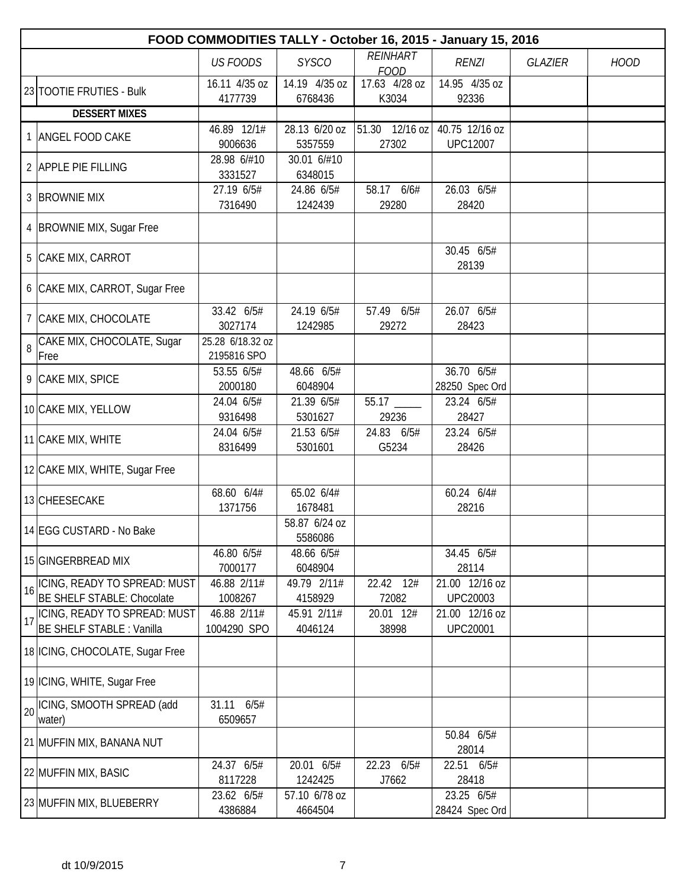|    | FOOD COMMODITIES TALLY - October 16, 2015 - January 15, 2016 |                                 |                          |                              |                                   |                |             |  |  |  |
|----|--------------------------------------------------------------|---------------------------------|--------------------------|------------------------------|-----------------------------------|----------------|-------------|--|--|--|
|    |                                                              | <b>US FOODS</b>                 | <b>SYSCO</b>             | <b>REINHART</b>              | <b>RENZI</b>                      | <b>GLAZIER</b> | <b>HOOD</b> |  |  |  |
|    |                                                              | 16.11 4/35 oz                   | 14.19 4/35 oz            | <b>FOOD</b><br>17.63 4/28 oz | 14.95 4/35 oz                     |                |             |  |  |  |
|    | 23 TOOTIE FRUTIES - Bulk                                     | 4177739                         | 6768436                  | K3034                        | 92336                             |                |             |  |  |  |
|    | <b>DESSERT MIXES</b>                                         |                                 |                          |                              |                                   |                |             |  |  |  |
|    |                                                              | 46.89 12/1#                     | 28.13 6/20 oz            | 51.30 12/16 oz               | 40.75 12/16 oz                    |                |             |  |  |  |
|    | <b>ANGEL FOOD CAKE</b>                                       | 9006636                         | 5357559                  | 27302                        | <b>UPC12007</b>                   |                |             |  |  |  |
|    | 2 APPLE PIE FILLING                                          | 28.98 6/#10<br>3331527          | 30.01 6/#10<br>6348015   |                              |                                   |                |             |  |  |  |
|    | 3 BROWNIE MIX                                                | 27.19 6/5#<br>7316490           | 24.86 6/5#<br>1242439    | 58.17 6/6#<br>29280          | 26.03 6/5#<br>28420               |                |             |  |  |  |
|    | 4  BROWNIE MIX, Sugar Free                                   |                                 |                          |                              |                                   |                |             |  |  |  |
|    | 5 CAKE MIX, CARROT                                           |                                 |                          |                              | 30.45 6/5#<br>28139               |                |             |  |  |  |
|    | 6 CAKE MIX, CARROT, Sugar Free                               |                                 |                          |                              |                                   |                |             |  |  |  |
|    | 7 CAKE MIX, CHOCOLATE                                        | 33.42 6/5#<br>3027174           | 24.19 6/5#<br>1242985    | 57.49 6/5#<br>29272          | 26.07 6/5#<br>28423               |                |             |  |  |  |
| 8  | CAKE MIX, CHOCOLATE, Sugar<br>Free                           | 25.28 6/18.32 oz<br>2195816 SPO |                          |                              |                                   |                |             |  |  |  |
|    | 9 CAKE MIX, SPICE                                            | 53.55 6/5#<br>2000180           | 48.66 6/5#<br>6048904    |                              | 36.70 6/5#<br>28250 Spec Ord      |                |             |  |  |  |
|    | 10 CAKE MIX, YELLOW                                          | 24.04 6/5#<br>9316498           | 21.39 6/5#<br>5301627    | 29236                        | 23.24 6/5#<br>28427               |                |             |  |  |  |
|    | 11 CAKE MIX, WHITE                                           | 24.04 6/5#<br>8316499           | 21.53 6/5#<br>5301601    | 24.83 6/5#<br>G5234          | 23.24 6/5#<br>28426               |                |             |  |  |  |
|    | 12 CAKE MIX, WHITE, Sugar Free                               |                                 |                          |                              |                                   |                |             |  |  |  |
|    | 13 CHEESECAKE                                                | 68.60 6/4#<br>1371756           | 65.02 6/4#<br>1678481    |                              | 60.24 6/4#<br>28216               |                |             |  |  |  |
|    | 14 EGG CUSTARD - No Bake                                     |                                 | 58.87 6/24 oz<br>5586086 |                              |                                   |                |             |  |  |  |
|    | 15 GINGERBREAD MIX                                           | 46.80 6/5#<br>7000177           | 48.66 6/5#<br>6048904    |                              | 34.45 6/5#<br>28114               |                |             |  |  |  |
|    | 16 CING, READY TO SPREAD: MUST<br>BE SHELF STABLE: Chocolate | 46.88 2/11#<br>1008267          | 49.79 2/11#<br>4158929   | 22.42 12#<br>72082           | 21.00 12/16 oz<br><b>UPC20003</b> |                |             |  |  |  |
| 17 | ICING, READY TO SPREAD: MUST<br>BE SHELF STABLE : Vanilla    | 46.88 2/11#<br>1004290 SPO      | 45.91 2/11#<br>4046124   | 20.01 12#<br>38998           | 21.00 12/16 oz<br><b>UPC20001</b> |                |             |  |  |  |
|    | 18 ICING, CHOCOLATE, Sugar Free                              |                                 |                          |                              |                                   |                |             |  |  |  |
|    | 19 ICING, WHITE, Sugar Free                                  |                                 |                          |                              |                                   |                |             |  |  |  |
|    | 20 CING, SMOOTH SPREAD (add<br>water)                        | 31.11 6/5#<br>6509657           |                          |                              |                                   |                |             |  |  |  |
|    | 21 MUFFIN MIX, BANANA NUT                                    |                                 |                          |                              | 50.84 6/5#<br>28014               |                |             |  |  |  |
|    | 22 MUFFIN MIX, BASIC                                         | 24.37 6/5#<br>8117228           | 20.01 6/5#<br>1242425    | 22.23 6/5#<br>J7662          | 22.51 6/5#<br>28418               |                |             |  |  |  |
|    | 23 MUFFIN MIX, BLUEBERRY                                     | 23.62 6/5#<br>4386884           | 57.10 6/78 oz<br>4664504 |                              | 23.25 6/5#<br>28424 Spec Ord      |                |             |  |  |  |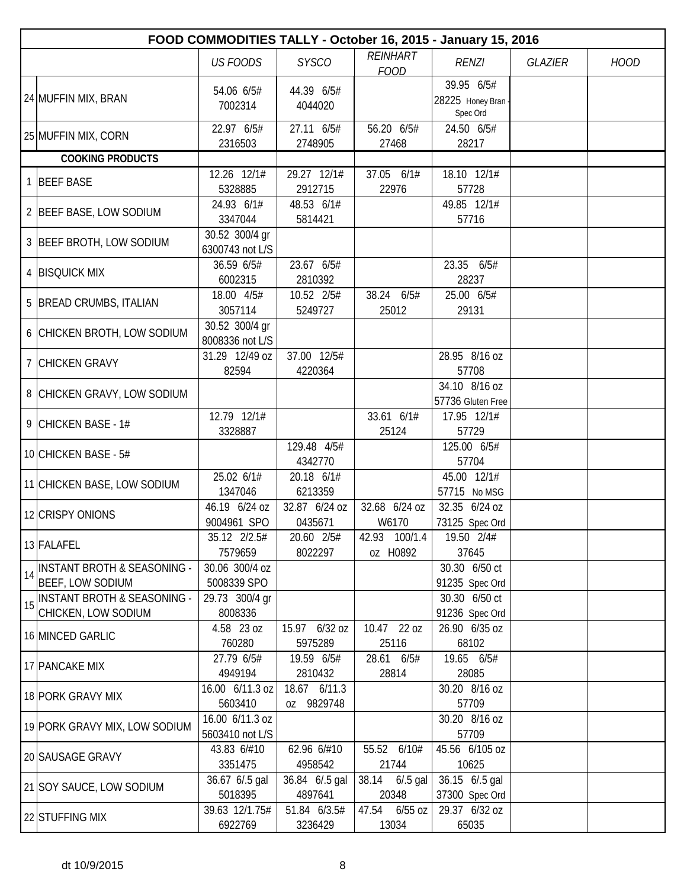|    | FOOD COMMODITIES TALLY - October 16, 2015 - January 15, 2016      |                                    |                            |                                |                                              |                |             |  |  |  |
|----|-------------------------------------------------------------------|------------------------------------|----------------------------|--------------------------------|----------------------------------------------|----------------|-------------|--|--|--|
|    |                                                                   | <b>US FOODS</b>                    | <b>SYSCO</b>               | <b>REINHART</b><br><b>FOOD</b> | <b>RENZI</b>                                 | <b>GLAZIER</b> | <b>HOOD</b> |  |  |  |
|    | 24 MUFFIN MIX, BRAN                                               | 54.06 6/5#<br>7002314              | 44.39 6/5#<br>4044020      |                                | 39.95 6/5#<br>28225 Honey Bran -<br>Spec Ord |                |             |  |  |  |
|    | 25 MUFFIN MIX, CORN                                               | 22.97 6/5#<br>2316503              | 27.11 6/5#<br>2748905      | 56.20 6/5#<br>27468            | 24.50 6/5#<br>28217                          |                |             |  |  |  |
|    | <b>COOKING PRODUCTS</b>                                           |                                    |                            |                                |                                              |                |             |  |  |  |
|    | 1 BEEF BASE                                                       | 12.26 12/1#<br>5328885             | 29.27 12/1#<br>2912715     | 37.05 6/1#<br>22976            | 18.10 12/1#<br>57728                         |                |             |  |  |  |
|    | 2 BEEF BASE, LOW SODIUM                                           | 24.93 6/1#<br>3347044              | 48.53 6/1#<br>5814421      |                                | 49.85 12/1#<br>57716                         |                |             |  |  |  |
|    | 3 BEEF BROTH, LOW SODIUM                                          | 30.52 300/4 gr<br>6300743 not L/S  |                            |                                |                                              |                |             |  |  |  |
|    | 4 BISQUICK MIX                                                    | 36.59 6/5#<br>6002315              | 23.67 6/5#<br>2810392      |                                | 23.35 6/5#<br>28237                          |                |             |  |  |  |
|    | 5 BREAD CRUMBS, ITALIAN                                           | 18.00 4/5#<br>3057114              | 10.52 2/5#<br>5249727      | 38.24 6/5#<br>25012            | 25.00 6/5#<br>29131                          |                |             |  |  |  |
|    | 6 CHICKEN BROTH, LOW SODIUM                                       | 30.52 300/4 gr<br>8008336 not L/S  |                            |                                |                                              |                |             |  |  |  |
|    | 7 CHICKEN GRAVY                                                   | 31.29 12/49 oz<br>82594            | 37.00 12/5#<br>4220364     |                                | 28.95 8/16 oz<br>57708                       |                |             |  |  |  |
|    | 8 CHICKEN GRAVY, LOW SODIUM                                       |                                    |                            |                                | 34.10 8/16 oz<br>57736 Gluten Free           |                |             |  |  |  |
|    | 9 CHICKEN BASE - 1#                                               | 12.79 12/1#<br>3328887             |                            | 33.61 6/1#<br>25124            | 17.95 12/1#<br>57729                         |                |             |  |  |  |
|    | 10 CHICKEN BASE - 5#                                              |                                    | 129.48 4/5#<br>4342770     |                                | 125.00 6/5#<br>57704                         |                |             |  |  |  |
|    | 11 CHICKEN BASE, LOW SODIUM                                       | $\overline{25.02}$ 6/1#<br>1347046 | 20.18 6/1#<br>6213359      |                                | 45.00 12/1#<br>57715 No MSG                  |                |             |  |  |  |
|    | 12 CRISPY ONIONS                                                  | 46.19 6/24 oz<br>9004961 SPO       | 32.87 6/24 oz<br>0435671   | 32.68 6/24 oz<br>W6170         | 32.35 6/24 oz<br>73125 Spec Ord              |                |             |  |  |  |
|    | 13 FALAFEL                                                        | 35.12 2/2.5#<br>7579659            | 20.60 2/5#<br>8022297      | 42.93 100/1.4<br>oz H0892      | 19.50 2/4#<br>37645                          |                |             |  |  |  |
| 14 | <b>INSTANT BROTH &amp; SEASONING -</b><br><b>BEEF, LOW SODIUM</b> | 30.06 300/4 oz<br>5008339 SPO      |                            |                                | 30.30 6/50 ct<br>91235 Spec Ord              |                |             |  |  |  |
| 15 | <b>INSTANT BROTH &amp; SEASONING -</b><br>CHICKEN, LOW SODIUM     | 29.73 300/4 gr<br>8008336          |                            |                                | 30.30 6/50 ct<br>91236 Spec Ord              |                |             |  |  |  |
|    | 16 MINCED GARLIC                                                  | 4.58 23 oz<br>760280               | 15.97 6/32 oz<br>5975289   | 10.47 22 oz<br>25116           | 26.90 6/35 oz<br>68102                       |                |             |  |  |  |
|    | 17 PANCAKE MIX                                                    | 27.79 6/5#<br>4949194              | 19.59 6/5#<br>2810432      | 28.61 6/5#<br>28814            | 19.65 6/5#<br>28085                          |                |             |  |  |  |
|    | 18 PORK GRAVY MIX                                                 | 16.00 6/11.3 oz<br>5603410         | 18.67 6/11.3<br>oz 9829748 |                                | 30.20 8/16 oz<br>57709                       |                |             |  |  |  |
|    | 19 PORK GRAVY MIX, LOW SODIUM                                     | 16.00 6/11.3 oz<br>5603410 not L/S |                            |                                | 30.20 8/16 oz<br>57709                       |                |             |  |  |  |
|    | 20 SAUSAGE GRAVY                                                  | 43.83 6/#10<br>3351475             | 62.96 6/#10<br>4958542     | 55.52 6/10#<br>21744           | 45.56 6/105 oz<br>10625                      |                |             |  |  |  |
|    | 21 SOY SAUCE, LOW SODIUM                                          | 36.67 6/.5 gal<br>5018395          | 36.84 6/.5 gal<br>4897641  | 38.14 6/.5 gal<br>20348        | 36.15 6/.5 gal<br>37300 Spec Ord             |                |             |  |  |  |
|    | 22 STUFFING MIX                                                   | 39.63 12/1.75#<br>6922769          | 51.84 6/3.5#<br>3236429    | 47.54 6/55 oz<br>13034         | 29.37 6/32 oz<br>65035                       |                |             |  |  |  |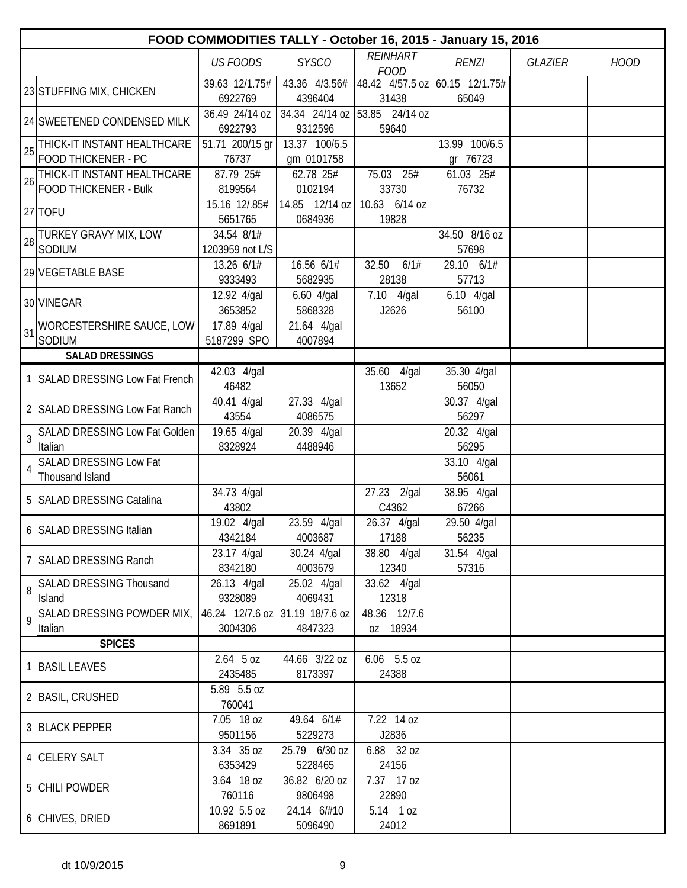|                | FOOD COMMODITIES TALLY - October 16, 2015 - January 15, 2016 |                               |                             |                                         |                           |                |             |  |  |
|----------------|--------------------------------------------------------------|-------------------------------|-----------------------------|-----------------------------------------|---------------------------|----------------|-------------|--|--|
|                |                                                              | <b>US FOODS</b>               | <b>SYSCO</b>                | <b>REINHART</b><br><b>FOOD</b>          | <b>RENZI</b>              | <b>GLAZIER</b> | <b>HOOD</b> |  |  |
|                | 23 STUFFING MIX, CHICKEN                                     | 39.63 12/1.75#<br>6922769     | 43.36 4/3.56#<br>4396404    | 48.42 4/57.5 oz 60.15 12/1.75#<br>31438 | 65049                     |                |             |  |  |
|                | 24 SWEETENED CONDENSED MILK                                  | 36.49 24/14 oz<br>6922793     | 34.34 24/14 oz<br>9312596   | 53.85 24/14 oz<br>59640                 |                           |                |             |  |  |
| 25             | THICK-IT INSTANT HEALTHCARE<br><b>FOOD THICKENER - PC</b>    | 51.71 200/15 gr<br>76737      | 13.37 100/6.5<br>gm 0101758 |                                         | 13.99 100/6.5<br>gr 76723 |                |             |  |  |
| 26             | THICK-IT INSTANT HEALTHCARE<br><b>FOOD THICKENER - Bulk</b>  | 87.79 25#<br>8199564          | 62.78 25#<br>0102194        | 75.03 25#<br>33730                      | 61.03 25#<br>76732        |                |             |  |  |
|                | $27$ TOFU                                                    | 15.16 12/.85#<br>5651765      | 14.85 12/14 oz<br>0684936   | 10.63 6/14 oz<br>19828                  |                           |                |             |  |  |
| 28             | TURKEY GRAVY MIX, LOW<br>SODIUM                              | 34.54 8/1#<br>1203959 not L/S |                             |                                         | 34.50 8/16 oz<br>57698    |                |             |  |  |
|                | 29 VEGETABLE BASE                                            | 13.26 6/1#<br>9333493         | 16.56 6/1#<br>5682935       | 32.50<br>6/1#<br>28138                  | 29.10 6/1#<br>57713       |                |             |  |  |
|                | 30 VINEGAR                                                   | 12.92 4/gal<br>3653852        | 6.60 4/gal<br>5868328       | 7.10 4/gal<br>J2626                     | 6.10 4/gal<br>56100       |                |             |  |  |
| 31             | WORCESTERSHIRE SAUCE, LOW<br>SODIUM                          | 17.89 4/gal<br>5187299 SPO    | 21.64 4/gal<br>4007894      |                                         |                           |                |             |  |  |
|                | <b>SALAD DRESSINGS</b>                                       |                               |                             |                                         |                           |                |             |  |  |
|                | SALAD DRESSING Low Fat French                                | 42.03 4/gal<br>46482          |                             | 35.60 4/gal<br>13652                    | 35.30 4/gal<br>56050      |                |             |  |  |
|                | 2 SALAD DRESSING Low Fat Ranch                               | 40.41 4/gal<br>43554          | 27.33 4/gal<br>4086575      |                                         | 30.37 4/gal<br>56297      |                |             |  |  |
|                | 3 SALAD DRESSING Low Fat Golden<br>Italian                   | 19.65 4/gal<br>8328924        | 20.39 4/gal<br>4488946      |                                         | 20.32 4/gal<br>56295      |                |             |  |  |
| $\overline{4}$ | <b>SALAD DRESSING Low Fat</b><br>Thousand Island             |                               |                             |                                         | 33.10 4/gal<br>56061      |                |             |  |  |
|                | 5 SALAD DRESSING Catalina                                    | 34.73 4/gal<br>43802          |                             | 27.23 2/gal<br>C4362                    | 38.95 4/gal<br>67266      |                |             |  |  |
|                | 6 SALAD DRESSING Italian                                     | 19.02 4/gal<br>4342184        | 23.59 4/gal<br>4003687      | 26.37 4/gal<br>17188                    | 29.50 4/gal<br>56235      |                |             |  |  |
|                | 7 SALAD DRESSING Ranch                                       | 23.17 4/gal<br>8342180        | 30.24 4/gal<br>4003679      | 38.80 4/gal<br>12340                    | 31.54 4/gal<br>57316      |                |             |  |  |
|                | 8 SALAD DRESSING Thousand<br><b>Island</b>                   | 26.13 4/gal<br>9328089        | 25.02 4/gal<br>4069431      | 33.62 4/gal<br>12318                    |                           |                |             |  |  |
| 9              | SALAD DRESSING POWDER MIX,<br>Italian                        | 46.24 12/7.6 oz<br>3004306    | 31.19 18/7.6 oz<br>4847323  | 48.36 12/7.6<br>oz 18934                |                           |                |             |  |  |
|                | <b>SPICES</b>                                                |                               |                             |                                         |                           |                |             |  |  |
|                | 1 BASIL LEAVES                                               | $2.64$ 5 oz<br>2435485        | $44.66$ 3/22 oz<br>8173397  | $6.06$ $5.5$ oz<br>24388                |                           |                |             |  |  |
|                | 2 BASIL, CRUSHED                                             | 5.89 5.5 oz<br>760041         |                             |                                         |                           |                |             |  |  |
|                | 3 BLACK PEPPER                                               | 7.05 18 oz<br>9501156         | 49.64 6/1#<br>5229273       | 7.22 14 oz<br>J2836                     |                           |                |             |  |  |
|                | 4 CELERY SALT                                                | 3.34 35 oz<br>6353429         | 25.79 6/30 oz<br>5228465    | 6.88 32 oz<br>24156                     |                           |                |             |  |  |
|                | 5 CHILI POWDER                                               | 3.64 18 oz<br>760116          | 36.82 6/20 oz<br>9806498    | 7.37 17 oz<br>22890                     |                           |                |             |  |  |
|                | 6 CHIVES, DRIED                                              | 10.92 5.5 oz<br>8691891       | 24.14 6/#10<br>5096490      | 5.14 1 oz<br>24012                      |                           |                |             |  |  |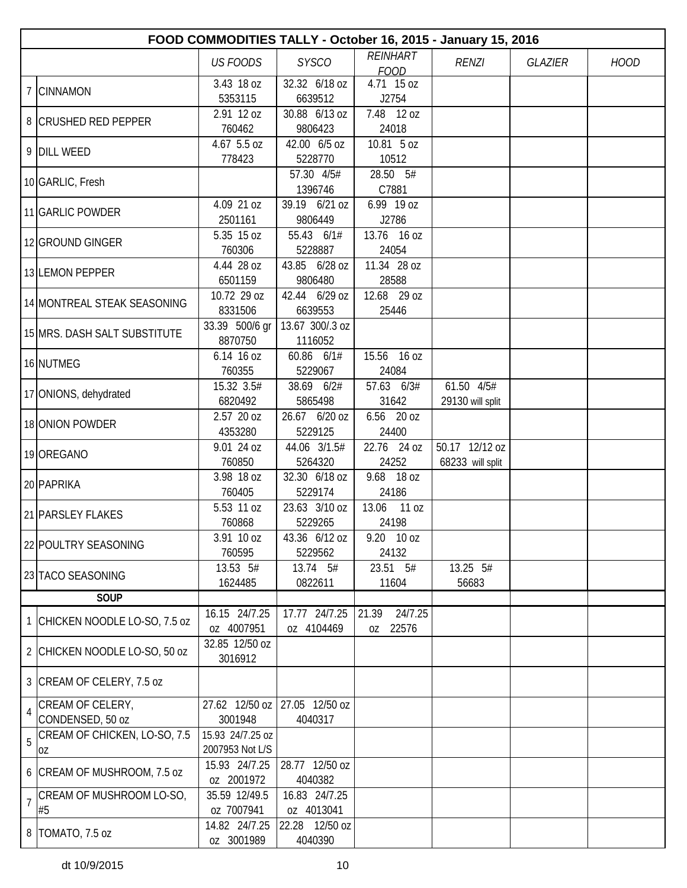|                | FOOD COMMODITIES TALLY - October 16, 2015 - January 15, 2016 |                               |                 |                  |                  |                |             |  |  |  |
|----------------|--------------------------------------------------------------|-------------------------------|-----------------|------------------|------------------|----------------|-------------|--|--|--|
|                |                                                              | <b>US FOODS</b>               | <b>SYSCO</b>    | <b>REINHART</b>  | <b>RENZI</b>     | <b>GLAZIER</b> | <b>HOOD</b> |  |  |  |
|                |                                                              |                               |                 | <b>FOOD</b>      |                  |                |             |  |  |  |
|                | 7 CINNAMON                                                   | 3.43 18 oz                    | 32.32 6/18 oz   | 4.71 15 oz       |                  |                |             |  |  |  |
|                |                                                              | 5353115                       | 6639512         | J2754            |                  |                |             |  |  |  |
|                | 8 CRUSHED RED PEPPER                                         | 2.91 12 oz                    | 30.88 6/13 oz   | 7.48 12 oz       |                  |                |             |  |  |  |
|                |                                                              | 760462                        | 9806423         | 24018            |                  |                |             |  |  |  |
|                |                                                              | 4.67 5.5 oz                   | 42.00 6/5 oz    | 10.81 5 oz       |                  |                |             |  |  |  |
|                | 9 DILL WEED                                                  | 778423                        | 5228770         | 10512            |                  |                |             |  |  |  |
|                |                                                              |                               | 57.30 4/5#      | 28.50 5#         |                  |                |             |  |  |  |
|                | 10 GARLIC, Fresh                                             |                               | 1396746         | C7881            |                  |                |             |  |  |  |
|                |                                                              | 4.09 21 oz                    | 39.19 6/21 oz   | 6.99 19 oz       |                  |                |             |  |  |  |
|                | 11 GARLIC POWDER                                             | 2501161                       | 9806449         | J2786            |                  |                |             |  |  |  |
|                |                                                              | 5.35 15 oz                    | 55.43 6/1#      | 13.76 16 oz      |                  |                |             |  |  |  |
|                | 12 GROUND GINGER                                             | 760306                        | 5228887         | 24054            |                  |                |             |  |  |  |
|                |                                                              | 4.44 28 oz                    | 43.85 6/28 oz   | 11.34 28 oz      |                  |                |             |  |  |  |
|                | 13 LEMON PEPPER                                              | 6501159                       | 9806480         | 28588            |                  |                |             |  |  |  |
|                |                                                              |                               |                 |                  |                  |                |             |  |  |  |
|                | 14 MONTREAL STEAK SEASONING                                  | 10.72 29 oz                   | 42.44 6/29 oz   | 12.68 29 oz      |                  |                |             |  |  |  |
|                |                                                              | 8331506                       | 6639553         | 25446            |                  |                |             |  |  |  |
|                | 15 MRS. DASH SALT SUBSTITUTE                                 | 33.39 500/6 gr                | 13.67 300/.3 oz |                  |                  |                |             |  |  |  |
|                |                                                              | 8870750                       | 1116052         |                  |                  |                |             |  |  |  |
|                | 16 NUTMEG                                                    | 6.14 16 oz                    | 60.86 6/1#      | 15.56 16 oz      |                  |                |             |  |  |  |
|                |                                                              | 760355                        | 5229067         | 24084            |                  |                |             |  |  |  |
|                |                                                              | 15.32 3.5#                    | 38.69 6/2#      | 57.63 6/3#       | 61.50 4/5#       |                |             |  |  |  |
|                | 17 ONIONS, dehydrated                                        | 6820492                       | 5865498         | 31642            | 29130 will split |                |             |  |  |  |
|                |                                                              | 2.57 20 oz                    | 26.67 6/20 oz   | 6.56 20 oz       |                  |                |             |  |  |  |
|                | 18 ONION POWDER                                              | 4353280                       | 5229125         | 24400            |                  |                |             |  |  |  |
|                |                                                              | 9.01 24 oz                    | 44.06 3/1.5#    | 22.76 24 oz      | 50.17 12/12 oz   |                |             |  |  |  |
|                | 19 OREGANO                                                   | 760850                        | 5264320         | 24252            | 68233 will split |                |             |  |  |  |
|                |                                                              | 3.98 18 oz                    | 32.30 6/18 oz   | 9.68 18 oz       |                  |                |             |  |  |  |
|                | 20 PAPRIKA                                                   | 760405                        | 5229174         | 24186            |                  |                |             |  |  |  |
|                |                                                              | 5.53 11 oz                    | 23.63 3/10 oz   | 13.06<br>11 oz   |                  |                |             |  |  |  |
|                | 21 PARSLEY FLAKES                                            | 760868                        | 5229265         | 24198            |                  |                |             |  |  |  |
|                |                                                              |                               |                 |                  |                  |                |             |  |  |  |
|                | 22 POULTRY SEASONING                                         | 3.91 10 oz                    | 43.36 6/12 oz   | 9.20 10 oz       |                  |                |             |  |  |  |
|                |                                                              | 760595                        | 5229562         | 24132            |                  |                |             |  |  |  |
|                | 23 TACO SEASONING                                            | 13.53 5#                      | 13.74 5#        | 23.51 5#         | 13.25 5#         |                |             |  |  |  |
|                |                                                              | 1624485                       | 0822611         | 11604            | 56683            |                |             |  |  |  |
|                | SOUP                                                         |                               |                 |                  |                  |                |             |  |  |  |
|                | 1 CHICKEN NOODLE LO-SO, 7.5 oz                               | 16.15 24/7.25                 | 17.77 24/7.25   | 24/7.25<br>21.39 |                  |                |             |  |  |  |
|                |                                                              | oz 4007951                    | oz 4104469      | oz 22576         |                  |                |             |  |  |  |
|                | 2 CHICKEN NOODLE LO-SO, 50 oz                                | 32.85 12/50 oz                |                 |                  |                  |                |             |  |  |  |
|                |                                                              | 3016912                       |                 |                  |                  |                |             |  |  |  |
|                |                                                              |                               |                 |                  |                  |                |             |  |  |  |
|                | 3 CREAM OF CELERY, 7.5 oz                                    |                               |                 |                  |                  |                |             |  |  |  |
|                | CREAM OF CELERY,                                             | 27.62 12/50 oz 27.05 12/50 oz |                 |                  |                  |                |             |  |  |  |
| $\overline{4}$ | CONDENSED, 50 oz                                             | 3001948                       | 4040317         |                  |                  |                |             |  |  |  |
|                | CREAM OF CHICKEN, LO-SO, 7.5                                 | 15.93 24/7.25 oz              |                 |                  |                  |                |             |  |  |  |
| 5              | 0Z                                                           | 2007953 Not L/S               |                 |                  |                  |                |             |  |  |  |
|                |                                                              | 15.93 24/7.25                 | 28.77 12/50 oz  |                  |                  |                |             |  |  |  |
|                | 6 CREAM OF MUSHROOM, 7.5 oz                                  | oz 2001972                    | 4040382         |                  |                  |                |             |  |  |  |
|                | CREAM OF MUSHROOM LO-SO,                                     | 35.59 12/49.5                 | 16.83 24/7.25   |                  |                  |                |             |  |  |  |
| $\overline{1}$ | #5                                                           | oz 7007941                    | oz 4013041      |                  |                  |                |             |  |  |  |
|                |                                                              |                               |                 |                  |                  |                |             |  |  |  |
|                | 8 TOMATO, 7.5 oz                                             | 14.82 24/7.25                 | 22.28 12/50 oz  |                  |                  |                |             |  |  |  |
|                |                                                              | oz 3001989                    | 4040390         |                  |                  |                |             |  |  |  |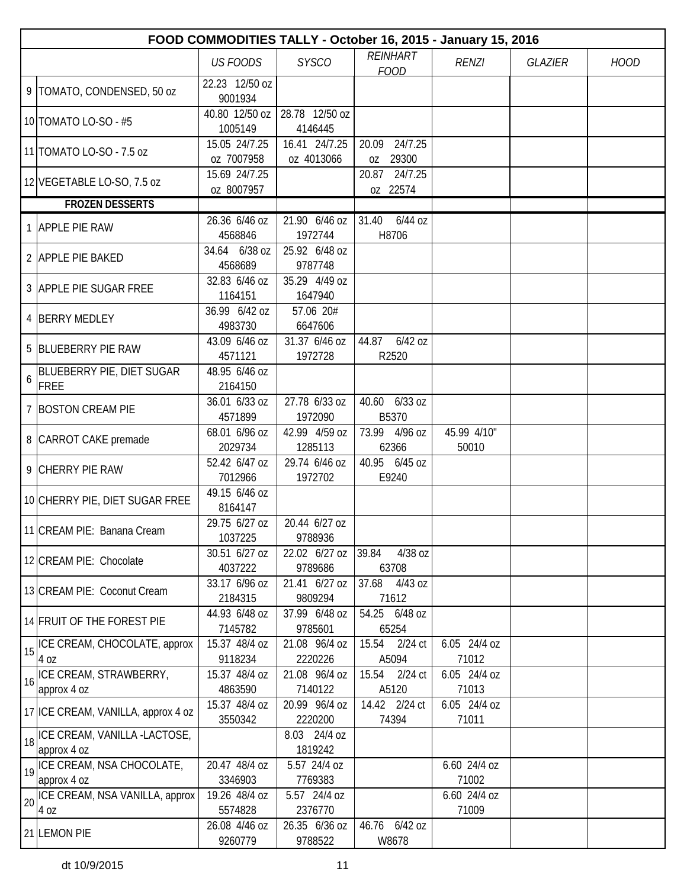|    | FOOD COMMODITIES TALLY - October 16, 2015 - January 15, 2016 |                             |                             |                              |                       |                |             |  |  |
|----|--------------------------------------------------------------|-----------------------------|-----------------------------|------------------------------|-----------------------|----------------|-------------|--|--|
|    |                                                              | <b>US FOODS</b>             | <b>SYSCO</b>                | REINHART                     | <b>RENZI</b>          | <b>GLAZIER</b> | <b>HOOD</b> |  |  |
|    | 9   TOMATO, CONDENSED, 50 oz                                 | 22.23 12/50 oz<br>9001934   |                             | <b>FOOD</b>                  |                       |                |             |  |  |
|    | 10 TOMATO LO-SO - #5                                         | 40.80 12/50 oz<br>1005149   | 28.78 12/50 oz<br>4146445   |                              |                       |                |             |  |  |
|    | 11 TOMATO LO-SO - 7.5 oz                                     | 15.05 24/7.25<br>oz 7007958 | 16.41 24/7.25<br>oz 4013066 | 20.09 24/7.25<br>29300<br>OZ |                       |                |             |  |  |
|    | 12 VEGETABLE LO-SO, 7.5 oz                                   | 15.69 24/7.25<br>oz 8007957 |                             | 20.87 24/7.25<br>oz 22574    |                       |                |             |  |  |
|    | <b>FROZEN DESSERTS</b>                                       |                             |                             |                              |                       |                |             |  |  |
|    | 1 APPLE PIE RAW                                              | 26.36 6/46 oz<br>4568846    | 21.90 6/46 oz<br>1972744    | $31.40$ 6/44 oz<br>H8706     |                       |                |             |  |  |
|    | 2 APPLE PIE BAKED                                            | 34.64 6/38 oz<br>4568689    | 25.92 6/48 oz<br>9787748    |                              |                       |                |             |  |  |
|    | 3 APPLE PIE SUGAR FREE                                       | 32.83 6/46 oz<br>1164151    | 35.29 4/49 oz<br>1647940    |                              |                       |                |             |  |  |
|    | 4 BERRY MEDLEY                                               | 36.99 6/42 oz<br>4983730    | 57.06 20#<br>6647606        |                              |                       |                |             |  |  |
|    | 5 BLUEBERRY PIE RAW                                          | 43.09 6/46 oz<br>4571121    | 31.37 6/46 oz<br>1972728    | $6/42$ oz<br>44.87<br>R2520  |                       |                |             |  |  |
| 6  | BLUEBERRY PIE, DIET SUGAR<br><b>FREE</b>                     | 48.95 6/46 oz<br>2164150    |                             |                              |                       |                |             |  |  |
|    | 7 BOSTON CREAM PIE                                           | 36.01 6/33 oz<br>4571899    | 27.78 6/33 oz<br>1972090    | 40.60 6/33 oz<br>B5370       |                       |                |             |  |  |
|    | 8 CARROT CAKE premade                                        | 68.01 6/96 oz<br>2029734    | 42.99 4/59 oz<br>1285113    | 73.99 4/96 oz<br>62366       | 45.99 4/10"<br>50010  |                |             |  |  |
|    | 9 CHERRY PIE RAW                                             | 52.42 6/47 oz<br>7012966    | 29.74 6/46 oz<br>1972702    | 40.95 6/45 oz<br>E9240       |                       |                |             |  |  |
|    | 10 CHERRY PIE, DIET SUGAR FREE                               | 49.15 6/46 oz<br>8164147    |                             |                              |                       |                |             |  |  |
|    | 11 CREAM PIE: Banana Cream                                   | 29.75 6/27 oz<br>1037225    | 20.44 6/27 oz<br>9788936    |                              |                       |                |             |  |  |
|    | 12 CREAM PIE: Chocolate                                      | 30.51 6/27 oz<br>4037222    | 22.02 6/27 oz<br>9789686    | 4/38 oz<br>39.84<br>63708    |                       |                |             |  |  |
|    | 13 CREAM PIE: Coconut Cream                                  | 33.17 6/96 oz<br>2184315    | 21.41 6/27 oz<br>9809294    | 37.68<br>4/43 oz<br>71612    |                       |                |             |  |  |
|    | 14 FRUIT OF THE FOREST PIE                                   | 44.93 6/48 oz<br>7145782    | 37.99 6/48 oz<br>9785601    | 54.25 6/48 oz<br>65254       |                       |                |             |  |  |
|    | 15 ICE CREAM, CHOCOLATE, approx<br>4 oz                      | 15.37 48/4 oz<br>9118234    | 21.08 96/4 oz<br>2220226    | 15.54<br>$2/24$ ct<br>A5094  | 6.05 24/4 oz<br>71012 |                |             |  |  |
| 16 | ICE CREAM, STRAWBERRY,<br>approx 4 oz                        | 15.37 48/4 oz<br>4863590    | 21.08 96/4 oz<br>7140122    | 15.54<br>2/24 ct<br>A5120    | 6.05 24/4 oz<br>71013 |                |             |  |  |
|    | 17 ICE CREAM, VANILLA, approx 4 oz                           | 15.37 48/4 oz<br>3550342    | 20.99 96/4 oz<br>2220200    | 14.42 2/24 ct<br>74394       | 6.05 24/4 oz<br>71011 |                |             |  |  |
|    | 18   ICE CREAM, VANILLA -LACTOSE,<br>approx 4 oz             |                             | 8.03 24/4 oz<br>1819242     |                              |                       |                |             |  |  |
|    | 19 ICE CREAM, NSA CHOCOLATE,<br>approx 4 oz                  | 20.47 48/4 oz<br>3346903    | 5.57 24/4 oz<br>7769383     |                              | 6.60 24/4 oz<br>71002 |                |             |  |  |
| 20 | ICE CREAM, NSA VANILLA, approx<br>4 oz                       | 19.26 48/4 oz<br>5574828    | 5.57 24/4 oz<br>2376770     |                              | 6.60 24/4 oz<br>71009 |                |             |  |  |
|    | 21 LEMON PIE                                                 | 26.08 4/46 oz<br>9260779    | 26.35 6/36 oz<br>9788522    | 46.76 6/42 oz<br>W8678       |                       |                |             |  |  |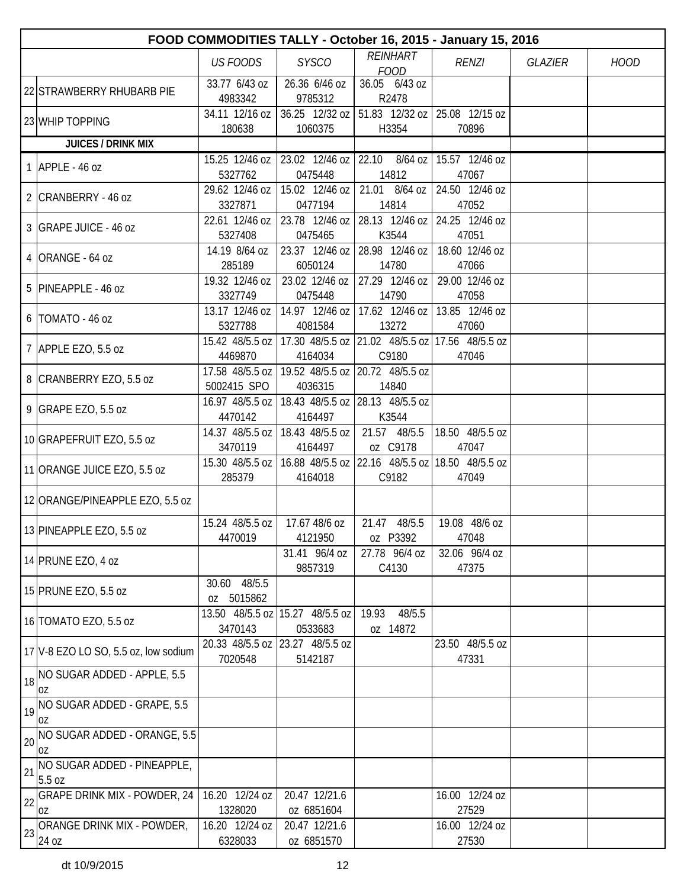|          | FOOD COMMODITIES TALLY - October 16, 2015 - January 15, 2016                                             |                                      |                                            |                                                                       |                                  |                |             |  |  |
|----------|----------------------------------------------------------------------------------------------------------|--------------------------------------|--------------------------------------------|-----------------------------------------------------------------------|----------------------------------|----------------|-------------|--|--|
|          |                                                                                                          | <b>US FOODS</b>                      | <b>SYSCO</b>                               | <b>REINHART</b>                                                       | <b>RENZI</b>                     | <b>GLAZIER</b> | <b>HOOD</b> |  |  |
|          |                                                                                                          | 33.77 6/43 oz                        | 26.36 6/46 oz                              | <b>FOOD</b><br>36.05 6/43 oz                                          |                                  |                |             |  |  |
|          | 22 STRAWBERRY RHUBARB PIE                                                                                | 4983342                              | 9785312                                    | R2478                                                                 |                                  |                |             |  |  |
|          | 23 WHIP TOPPING                                                                                          | 34.11 12/16 oz                       |                                            | 36.25 12/32 oz 51.83 12/32 oz 25.08 12/15 oz                          |                                  |                |             |  |  |
|          |                                                                                                          | 180638                               | 1060375                                    | H3354                                                                 | 70896                            |                |             |  |  |
|          | <b>JUICES / DRINK MIX</b>                                                                                |                                      |                                            |                                                                       |                                  |                |             |  |  |
|          | 1 APPLE - 46 oz                                                                                          | 15.25 12/46 oz<br>5327762            | 0475448                                    | 23.02 12/46 oz 22.10 8/64 oz 15.57 12/46 oz<br>14812                  | 47067                            |                |             |  |  |
|          |                                                                                                          | 29.62 12/46 oz                       |                                            | 15.02 12/46 oz   21.01 8/64 oz   24.50 12/46 oz                       |                                  |                |             |  |  |
|          | 2 CRANBERRY - 46 oz                                                                                      | 3327871                              | 0477194                                    | 14814                                                                 | 47052                            |                |             |  |  |
|          | 3 GRAPE JUICE - 46 oz                                                                                    | 22.61 12/46 oz                       |                                            | 23.78 12/46 oz 28.13 12/46 oz 24.25 12/46 oz                          |                                  |                |             |  |  |
|          |                                                                                                          | 5327408                              | 0475465                                    | K3544                                                                 | 47051                            |                |             |  |  |
|          | 4 ORANGE - 64 oz                                                                                         | 14.19 8/64 oz                        |                                            | 23.37 12/46 oz   28.98 12/46 oz                                       | 18.60 12/46 oz                   |                |             |  |  |
|          |                                                                                                          | 285189<br>19.32 12/46 oz             | 6050124<br>23.02 12/46 oz                  | 14780<br>27.29 12/46 oz                                               | 47066<br>29.00 12/46 oz          |                |             |  |  |
|          | 5 PINEAPPLE - 46 oz                                                                                      | 3327749                              | 0475448                                    | 14790                                                                 | 47058                            |                |             |  |  |
|          |                                                                                                          | 13.17 12/46 oz                       |                                            | 14.97 12/46 oz   17.62 12/46 oz   13.85 12/46 oz                      |                                  |                |             |  |  |
|          | 6 TOMATO - 46 oz                                                                                         | 5327788                              | 4081584                                    | 13272                                                                 | 47060                            |                |             |  |  |
|          | 7 APPLE EZO, 5.5 oz                                                                                      |                                      |                                            | 15.42 48/5.5 oz   17.30 48/5.5 oz   21.02 48/5.5 oz   17.56 48/5.5 oz |                                  |                |             |  |  |
|          |                                                                                                          | 4469870                              | 4164034                                    | C9180                                                                 | 47046                            |                |             |  |  |
|          | 8 CRANBERRY EZO, 5.5 oz                                                                                  |                                      |                                            | 17.58 48/5.5 oz   19.52 48/5.5 oz   20.72 48/5.5 oz                   |                                  |                |             |  |  |
|          |                                                                                                          | 5002415 SPO                          | 4036315                                    | 14840<br>16.97 48/5.5 oz   18.43 48/5.5 oz   28.13 48/5.5 oz          |                                  |                |             |  |  |
|          | 9 GRAPE EZO, 5.5 oz                                                                                      | 4470142                              | 4164497                                    | K3544                                                                 |                                  |                |             |  |  |
|          |                                                                                                          | 14.37 48/5.5 oz                      | 18.43 48/5.5 oz                            | 21.57 48/5.5                                                          | 18.50 48/5.5 oz                  |                |             |  |  |
|          | 10 GRAPEFRUIT EZO, 5.5 oz                                                                                | 3470119                              | 4164497                                    | oz C9178                                                              | 47047                            |                |             |  |  |
|          | 11 ORANGE JUICE EZO, 5.5 oz                                                                              |                                      |                                            | 15.30 48/5.5 oz   16.88 48/5.5 oz   22.16 48/5.5 oz   18.50 48/5.5 oz |                                  |                |             |  |  |
|          |                                                                                                          | 285379                               | 4164018                                    | C9182                                                                 | 47049                            |                |             |  |  |
|          | 12 ORANGE/PINEAPPLE EZO, 5.5 oz                                                                          |                                      |                                            |                                                                       |                                  |                |             |  |  |
|          |                                                                                                          | 15.24 48/5.5 oz   17.67 48/6 oz      |                                            | 21.47<br>48/5.5                                                       | 19.08 48/6 oz                    |                |             |  |  |
|          | 13 PINEAPPLE EZO, 5.5 oz                                                                                 | 4470019                              | 4121950                                    | oz P3392                                                              | 47048                            |                |             |  |  |
|          |                                                                                                          |                                      | 31.41 96/4 oz                              | 27.78 96/4 oz                                                         | 32.06 96/4 oz                    |                |             |  |  |
|          | 14 PRUNE EZO, 4 oz                                                                                       |                                      | 9857319                                    | C4130                                                                 | 47375                            |                |             |  |  |
|          | 15 PRUNE EZO, 5.5 oz                                                                                     | 30.60 48/5.5                         |                                            |                                                                       |                                  |                |             |  |  |
|          |                                                                                                          | oz 5015862                           |                                            |                                                                       |                                  |                |             |  |  |
|          | 16 TOMATO EZO, 5.5 oz                                                                                    | 3470143                              | 13.50 48/5.5 oz 15.27 48/5.5 oz<br>0533683 | 19.93<br>48/5.5<br>oz 14872                                           |                                  |                |             |  |  |
|          |                                                                                                          |                                      | 20.33 48/5.5 oz 23.27 48/5.5 oz            |                                                                       | 23.50 48/5.5 oz                  |                |             |  |  |
|          | 17 V-8 EZO LO SO, 5.5 oz, low sodium                                                                     | 7020548                              | 5142187                                    |                                                                       | 47331                            |                |             |  |  |
|          | 18 NO SUGAR ADDED - APPLE, 5.5                                                                           |                                      |                                            |                                                                       |                                  |                |             |  |  |
|          | OZ                                                                                                       |                                      |                                            |                                                                       |                                  |                |             |  |  |
|          | 19 NO SUGAR ADDED - GRAPE, 5.5                                                                           |                                      |                                            |                                                                       |                                  |                |             |  |  |
|          | OZ                                                                                                       |                                      |                                            |                                                                       |                                  |                |             |  |  |
| 20       |                                                                                                          |                                      |                                            |                                                                       |                                  |                |             |  |  |
|          |                                                                                                          |                                      |                                            |                                                                       |                                  |                |             |  |  |
|          | 5.5 oz                                                                                                   |                                      |                                            |                                                                       |                                  |                |             |  |  |
|          | <b>GRAPE DRINK MIX - POWDER, 24</b>                                                                      | 16.20 12/24 oz                       | 20.47 12/21.6                              |                                                                       | 16.00 12/24 oz                   |                |             |  |  |
|          | l0Z                                                                                                      |                                      |                                            |                                                                       |                                  |                |             |  |  |
| 23       |                                                                                                          |                                      |                                            |                                                                       |                                  |                |             |  |  |
| 21<br>22 | NO SUGAR ADDED - ORANGE, 5.5<br>OZ<br>NO SUGAR ADDED - PINEAPPLE,<br>ORANGE DRINK MIX - POWDER,<br>24 oz | 1328020<br>16.20 12/24 oz<br>6328033 | oz 6851604<br>20.47 12/21.6<br>oz 6851570  |                                                                       | 27529<br>16.00 12/24 oz<br>27530 |                |             |  |  |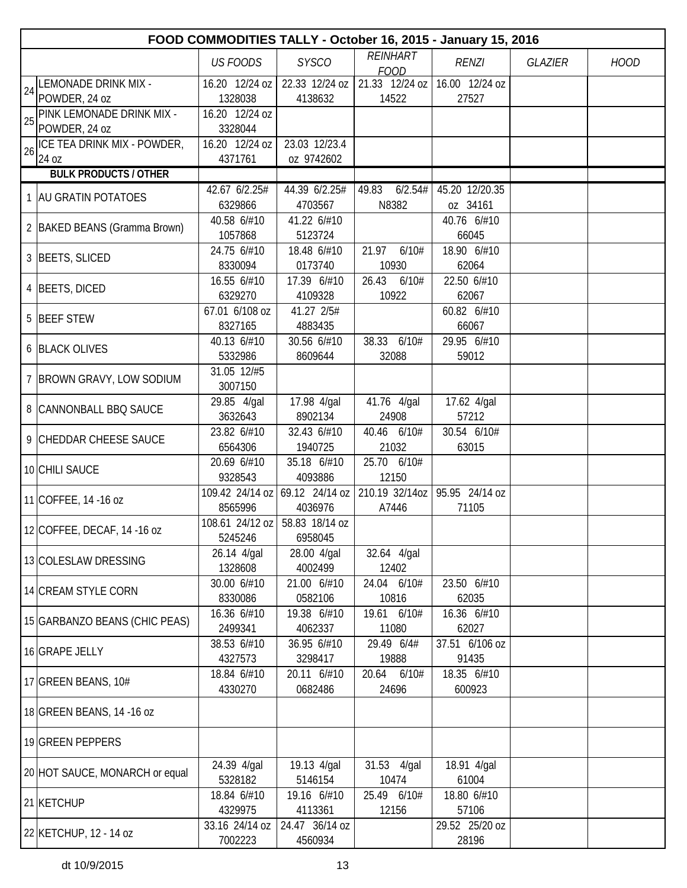|    | FOOD COMMODITIES TALLY - October 16, 2015 - January 15, 2016 |                                |                                           |                                                |                      |                |             |  |  |  |
|----|--------------------------------------------------------------|--------------------------------|-------------------------------------------|------------------------------------------------|----------------------|----------------|-------------|--|--|--|
|    |                                                              | <b>US FOODS</b>                | <b>SYSCO</b>                              | REINHART                                       | <b>RENZI</b>         | <b>GLAZIER</b> | <b>HOOD</b> |  |  |  |
|    | LEMONADE DRINK MIX -                                         |                                | 16.20 12/24 oz   22.33 12/24 oz           | <b>FOOD</b><br>21.33 12/24 oz   16.00 12/24 oz |                      |                |             |  |  |  |
| 24 | POWDER, 24 oz                                                | 1328038                        | 4138632                                   | 14522                                          | 27527                |                |             |  |  |  |
| 25 | PINK LEMONADE DRINK MIX -                                    | 16.20 12/24 oz                 |                                           |                                                |                      |                |             |  |  |  |
|    | POWDER, 24 oz                                                | 3328044                        |                                           |                                                |                      |                |             |  |  |  |
| 26 | ICE TEA DRINK MIX - POWDER,                                  | 16.20 12/24 oz                 | 23.03 12/23.4                             |                                                |                      |                |             |  |  |  |
|    | 24 oz<br><b>BULK PRODUCTS / OTHER</b>                        | 4371761                        | oz 9742602                                |                                                |                      |                |             |  |  |  |
|    |                                                              | 42.67 6/2.25#                  | 44.39 6/2.25#                             | 49.83<br>6/2.54#                               | 45.20 12/20.35       |                |             |  |  |  |
|    | 1 AU GRATIN POTATOES                                         | 6329866                        | 4703567                                   | N8382                                          | oz 34161             |                |             |  |  |  |
|    |                                                              | 40.58 6/#10                    | 41.22 6/#10                               |                                                | 40.76 6/#10          |                |             |  |  |  |
|    | 2   BAKED BEANS (Gramma Brown)                               | 1057868                        | 5123724                                   |                                                | 66045                |                |             |  |  |  |
|    | 3 BEETS, SLICED                                              | 24.75 6/#10                    | 18.48 6/#10                               | 6/10#<br>21.97                                 | 18.90 6/#10          |                |             |  |  |  |
|    |                                                              | 8330094                        | 0173740                                   | 10930                                          | 62064                |                |             |  |  |  |
|    | 4 BEETS, DICED                                               | 16.55 6/#10                    | 17.39 6/#10                               | 26.43<br>6/10#                                 | 22.50 6/#10          |                |             |  |  |  |
|    |                                                              | 6329270                        | 4109328                                   | 10922                                          | 62067                |                |             |  |  |  |
|    | 5 BEEF STEW                                                  | 67.01 6/108 oz<br>8327165      | 41.27 2/5#<br>4883435                     |                                                | 60.82 6/#10<br>66067 |                |             |  |  |  |
|    |                                                              | 40.13 6/#10                    | 30.56 6/#10                               | 38.33 6/10#                                    | 29.95 6/#10          |                |             |  |  |  |
|    | 6 BLACK OLIVES                                               | 5332986                        | 8609644                                   | 32088                                          | 59012                |                |             |  |  |  |
|    |                                                              | 31.05 12/#5                    |                                           |                                                |                      |                |             |  |  |  |
|    | 7 BROWN GRAVY, LOW SODIUM                                    | 3007150                        |                                           |                                                |                      |                |             |  |  |  |
|    | 8 CANNONBALL BBQ SAUCE                                       | 29.85 4/gal                    | 17.98 4/gal                               | 41.76 4/gal                                    | 17.62 4/gal          |                |             |  |  |  |
|    |                                                              | 3632643                        | 8902134                                   | 24908                                          | 57212                |                |             |  |  |  |
|    | 9 CHEDDAR CHEESE SAUCE                                       | 23.82 6/#10                    | 32.43 6/#10                               | 40.46 6/10#                                    | 30.54 6/10#          |                |             |  |  |  |
|    |                                                              | 6564306                        | 1940725                                   | 21032                                          | 63015                |                |             |  |  |  |
|    | 10 CHILI SAUCE                                               | 20.69 6/#10                    | 35.18 6/#10                               | 25.70 6/10#                                    |                      |                |             |  |  |  |
|    |                                                              | 9328543                        | 4093886<br>109.42 24/14 oz 69.12 24/14 oz | 12150<br>210.19 32/14oz                        | 95.95 24/14 oz       |                |             |  |  |  |
|    | 11 COFFEE, 14 -16 oz                                         | 8565996                        | 4036976                                   | A7446                                          | 71105                |                |             |  |  |  |
|    |                                                              | 108.61 24/12 oz 58.83 18/14 oz |                                           |                                                |                      |                |             |  |  |  |
|    | 12 COFFEE, DECAF, 14 -16 oz                                  | 5245246                        | 6958045                                   |                                                |                      |                |             |  |  |  |
|    | 13 COLESLAW DRESSING                                         | 26.14 4/gal                    | 28.00 4/gal                               | 32.64 4/gal                                    |                      |                |             |  |  |  |
|    |                                                              | 1328608                        | 4002499                                   | 12402                                          |                      |                |             |  |  |  |
|    | 14 CREAM STYLE CORN                                          | 30.00 6/#10                    | 21.00 6/#10                               | 24.04 6/10#                                    | 23.50 6/#10          |                |             |  |  |  |
|    |                                                              | 8330086                        | 0582106                                   | 10816                                          | 62035                |                |             |  |  |  |
|    | 15 GARBANZO BEANS (CHIC PEAS)                                | 16.36 6/#10<br>2499341         | 19.38 6/#10<br>4062337                    | 19.61 6/10#<br>11080                           | 16.36 6/#10<br>62027 |                |             |  |  |  |
|    |                                                              | 38.53 6/#10                    | 36.95 6/#10                               | 29.49 6/4#                                     | 37.51 6/106 oz       |                |             |  |  |  |
|    | 16 GRAPE JELLY                                               | 4327573                        | 3298417                                   | 19888                                          | 91435                |                |             |  |  |  |
|    |                                                              | 18.84 6/#10                    | 20.11 6/#10                               | 20.64 6/10#                                    | 18.35 6/#10          |                |             |  |  |  |
|    | 17 GREEN BEANS, 10#                                          | 4330270                        | 0682486                                   | 24696                                          | 600923               |                |             |  |  |  |
|    | 18 GREEN BEANS, 14 -16 oz                                    |                                |                                           |                                                |                      |                |             |  |  |  |
|    | 19 GREEN PEPPERS                                             |                                |                                           |                                                |                      |                |             |  |  |  |
|    | 20 HOT SAUCE, MONARCH or equal                               | 24.39 4/gal<br>5328182         | 19.13 4/gal<br>5146154                    | 31.53 4/gal<br>10474                           | 18.91 4/gal<br>61004 |                |             |  |  |  |
|    |                                                              | 18.84 6/#10                    | 19.16 6/#10                               | 25.49 6/10#                                    | 18.80 6/#10          |                |             |  |  |  |
|    | 21 KETCHUP                                                   | 4329975                        | 4113361                                   | 12156                                          | 57106                |                |             |  |  |  |
|    | 22 KETCHUP, 12 - 14 oz                                       | 33.16 24/14 oz                 | 24.47 36/14 oz                            |                                                | 29.52 25/20 oz       |                |             |  |  |  |
|    |                                                              | 7002223                        | 4560934                                   |                                                | 28196                |                |             |  |  |  |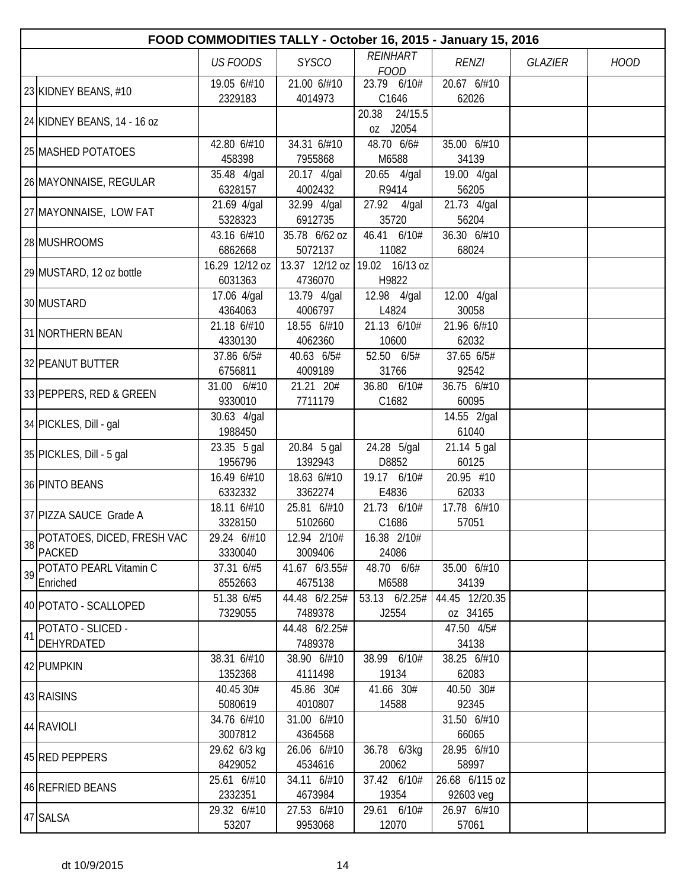|    |                                             |                           |                          | FOOD COMMODITIES TALLY - October 16, 2015 - January 15, 2016 |                             |                |             |
|----|---------------------------------------------|---------------------------|--------------------------|--------------------------------------------------------------|-----------------------------|----------------|-------------|
|    |                                             | <b>US FOODS</b>           | <b>SYSCO</b>             | <b>REINHART</b><br><b>FOOD</b>                               | <b>RENZI</b>                | <b>GLAZIER</b> | <b>HOOD</b> |
|    | 23 KIDNEY BEANS, #10                        | 19.05 6/#10               | 21.00 6/#10              | 23.79 6/10#                                                  | 20.67 6/#10                 |                |             |
|    | 24 KIDNEY BEANS, 14 - 16 oz                 | 2329183                   | 4014973                  | C1646<br>20.38<br>24/15.5<br>oz J2054                        | 62026                       |                |             |
|    | 25 MASHED POTATOES                          | 42.80 6/#10<br>458398     | 34.31 6/#10<br>7955868   | 48.70 6/6#<br>M6588                                          | 35.00 6/#10<br>34139        |                |             |
|    | 26 MAYONNAISE, REGULAR                      | 35.48 4/gal<br>6328157    | 20.17 4/gal<br>4002432   | 20.65 4/gal<br>R9414                                         | 19.00 4/gal<br>56205        |                |             |
|    | 27 MAYONNAISE, LOW FAT                      | 21.69 4/gal<br>5328323    | $32.99$ 4/gal<br>6912735 | 27.92 4/gal<br>35720                                         | 21.73 4/gal<br>56204        |                |             |
|    | 28 MUSHROOMS                                | 43.16 6/#10<br>6862668    | 35.78 6/62 oz<br>5072137 | 46.41 6/10#<br>11082                                         | 36.30 6/#10<br>68024        |                |             |
|    | 29 MUSTARD, 12 oz bottle                    | 16.29 12/12 oz<br>6031363 | 4736070                  | 13.37 12/12 oz 19.02 16/13 oz<br>H9822                       |                             |                |             |
|    | 30 MUSTARD                                  | 17.06 4/gal<br>4364063    | 13.79 4/gal<br>4006797   | 12.98 4/gal<br>L4824                                         | 12.00 4/gal<br>30058        |                |             |
|    | 31 NORTHERN BEAN                            | 21.18 6/#10<br>4330130    | 18.55 6/#10<br>4062360   | 21.13 6/10#<br>10600                                         | 21.96 6/#10<br>62032        |                |             |
|    | 32 PEANUT BUTTER                            | 37.86 6/5#<br>6756811     | 40.63 6/5#<br>4009189    | 52.50 6/5#<br>31766                                          | 37.65 6/5#<br>92542         |                |             |
|    | 33 PEPPERS, RED & GREEN                     | 31.00 6/#10<br>9330010    | 21.21 20#<br>7711179     | 36.80 6/10#<br>C1682                                         | 36.75 6/#10<br>60095        |                |             |
|    | 34 PICKLES, Dill - gal                      | 30.63 4/gal<br>1988450    |                          |                                                              | 14.55 2/gal<br>61040        |                |             |
|    | 35 PICKLES, Dill - 5 gal                    | 23.35 5 gal<br>1956796    | 20.84 5 gal<br>1392943   | 24.28 5/gal<br>D8852                                         | 21.14 5 gal<br>60125        |                |             |
|    | 36 PINTO BEANS                              | 16.49 6/#10<br>6332332    | 18.63 6/#10<br>3362274   | 19.17 6/10#<br>E4836                                         | 20.95 #10<br>62033          |                |             |
|    | 37 PIZZA SAUCE Grade A                      | 18.11 6/#10<br>3328150    | 25.81 6/#10<br>5102660   | 21.73 6/10#<br>C1686                                         | 17.78 6/#10<br>57051        |                |             |
| 38 | POTATOES, DICED, FRESH VAC<br><b>PACKED</b> | 29.24 6/#10<br>3330040    | 12.94 2/10#<br>3009406   | 16.38 2/10#<br>24086                                         |                             |                |             |
| 39 | POTATO PEARL Vitamin C<br>Enriched          | 37.31 6/#5<br>8552663     | 41.67 6/3.55#<br>4675138 | 48.70 6/6#<br>M6588                                          | 35.00 6/#10<br>34139        |                |             |
|    | 40 POTATO - SCALLOPED                       | 51.38 6/#5<br>7329055     | 44.48 6/2.25#<br>7489378 | 53.13 6/2.25#<br>J2554                                       | 44.45 12/20.35<br>oz 34165  |                |             |
| 41 | POTATO - SLICED -<br>DEHYRDATED             |                           | 44.48 6/2.25#<br>7489378 |                                                              | 47.50 4/5#<br>34138         |                |             |
|    | 42 PUMPKIN                                  | 38.31 6/#10<br>1352368    | 38.90 6/#10<br>4111498   | 38.99 6/10#<br>19134                                         | 38.25 6/#10<br>62083        |                |             |
|    | 43 RAISINS                                  | 40.45 30#<br>5080619      | 45.86 30#<br>4010807     | 41.66 30#<br>14588                                           | 40.50 30#<br>92345          |                |             |
|    | 44 RAVIOLI                                  | 34.76 6/#10<br>3007812    | 31.00 6/#10<br>4364568   |                                                              | 31.50 6/#10<br>66065        |                |             |
|    | 45 RED PEPPERS                              | 29.62 6/3 kg<br>8429052   | 26.06 6/#10<br>4534616   | 36.78 6/3kg<br>20062                                         | 28.95 6/#10<br>58997        |                |             |
|    | 46 REFRIED BEANS                            | 25.61 6/#10<br>2332351    | 34.11 6/#10<br>4673984   | 37.42 6/10#<br>19354                                         | 26.68 6/115 oz<br>92603 veg |                |             |
|    | 47 SALSA                                    | 29.32 6/#10<br>53207      | 27.53 6/#10<br>9953068   | 29.61 6/10#<br>12070                                         | 26.97 6/#10<br>57061        |                |             |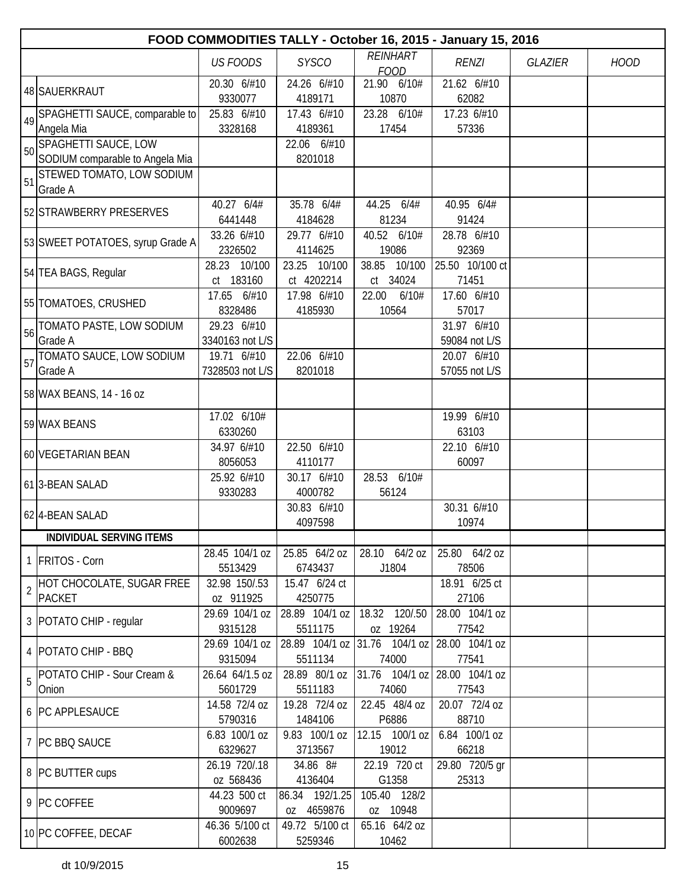|                | FOOD COMMODITIES TALLY - October 16, 2015 - January 15, 2016 |                            |                           |                               |                         |                |             |  |  |  |
|----------------|--------------------------------------------------------------|----------------------------|---------------------------|-------------------------------|-------------------------|----------------|-------------|--|--|--|
|                |                                                              | <b>US FOODS</b>            | <b>SYSCO</b>              | <b>REINHART</b>               | <b>RENZI</b>            | <b>GLAZIER</b> | <b>HOOD</b> |  |  |  |
|                |                                                              | 20.30 6/#10                | 24.26 6/#10               | <b>FOOD</b><br>21.90 6/10#    | 21.62 6/#10             |                |             |  |  |  |
|                | 48 SAUERKRAUT                                                | 9330077                    | 4189171                   | 10870                         | 62082                   |                |             |  |  |  |
| 49             | SPAGHETTI SAUCE, comparable to                               | 25.83 6/#10                | 17.43 6/#10               | 23.28 6/10#                   | 17.23 6/#10             |                |             |  |  |  |
|                | Angela Mia                                                   | 3328168                    | 4189361                   | 17454                         | 57336                   |                |             |  |  |  |
| 50             | SPAGHETTI SAUCE, LOW                                         |                            | 22.06 6/#10               |                               |                         |                |             |  |  |  |
|                | SODIUM comparable to Angela Mia                              |                            | 8201018                   |                               |                         |                |             |  |  |  |
| 51             | STEWED TOMATO, LOW SODIUM<br>Grade A                         |                            |                           |                               |                         |                |             |  |  |  |
|                | 52 STRAWBERRY PRESERVES                                      | 40.27 6/4#<br>6441448      | 35.78 6/4#<br>4184628     | 44.25 6/4#<br>81234           | 40.95 6/4#<br>91424     |                |             |  |  |  |
|                |                                                              | 33.26 6/#10                | 29.77 6/#10               | 40.52 6/10#                   | 28.78 6/#10             |                |             |  |  |  |
|                | 53 SWEET POTATOES, syrup Grade A                             | 2326502                    | 4114625                   | 19086                         | 92369                   |                |             |  |  |  |
|                |                                                              | 28.23 10/100               | 23.25 10/100              | 38.85<br>10/100               | 25.50 10/100 ct         |                |             |  |  |  |
|                | 54 TEA BAGS, Regular                                         | ct 183160                  | ct 4202214                | ct 34024                      | 71451                   |                |             |  |  |  |
|                |                                                              | 17.65 6/#10                | 17.98 6/#10               | 6/10#<br>22.00                | 17.60 6/#10             |                |             |  |  |  |
|                | 55 TOMATOES, CRUSHED                                         | 8328486                    | 4185930                   | 10564                         | 57017                   |                |             |  |  |  |
| 56             | TOMATO PASTE, LOW SODIUM                                     | 29.23 6/#10                |                           |                               | 31.97 6/#10             |                |             |  |  |  |
|                | Grade A                                                      | 3340163 not L/S            |                           |                               | 59084 not L/S           |                |             |  |  |  |
| 57             | TOMATO SAUCE, LOW SODIUM                                     | 19.71 6/#10                | 22.06 6/#10               |                               | 20.07 6/#10             |                |             |  |  |  |
|                | Grade A                                                      | 7328503 not L/S            | 8201018                   |                               | 57055 not L/S           |                |             |  |  |  |
|                | 58 WAX BEANS, 14 - 16 oz                                     |                            |                           |                               |                         |                |             |  |  |  |
|                | 59 WAX BEANS                                                 | 17.02 6/10#                |                           |                               | 19.99 6/#10             |                |             |  |  |  |
|                |                                                              | 6330260                    |                           |                               | 63103                   |                |             |  |  |  |
|                | 60 VEGETARIAN BEAN                                           | 34.97 6/#10<br>8056053     | 22.50 6/#10               |                               | 22.10 6/#10             |                |             |  |  |  |
|                |                                                              | 25.92 6/#10                | 4110177<br>30.17 6/#10    | 28.53 6/10#                   | 60097                   |                |             |  |  |  |
|                | 61 3-BEAN SALAD                                              | 9330283                    | 4000782                   | 56124                         |                         |                |             |  |  |  |
|                |                                                              |                            | 30.83 6/#10               |                               | 30.31 6/#10             |                |             |  |  |  |
|                | 62 4-BEAN SALAD                                              |                            | 4097598                   |                               | 10974                   |                |             |  |  |  |
|                | <b>INDIVIDUAL SERVING ITEMS</b>                              |                            |                           |                               |                         |                |             |  |  |  |
|                | 1 FRITOS - Corn                                              | 28.45 104/1 oz             | 25.85 64/2 oz             | 28.10 64/2 oz                 | 25.80 64/2 oz           |                |             |  |  |  |
|                |                                                              | 5513429                    | 6743437                   | J1804                         | 78506                   |                |             |  |  |  |
| $\overline{2}$ | HOT CHOCOLATE, SUGAR FREE                                    | 32.98 150/.53              | 15.47 6/24 ct             |                               | 18.91 6/25 ct           |                |             |  |  |  |
|                | <b>PACKET</b>                                                | oz 911925                  | 4250775                   |                               | 27106                   |                |             |  |  |  |
|                | 3   POTATO CHIP - regular                                    | 29.69 104/1 oz<br>9315128  | 28.89 104/1 oz<br>5511175 | 18.32 120/.50<br>oz 19264     | 28.00 104/1 oz<br>77542 |                |             |  |  |  |
|                |                                                              | 29.69 104/1 oz             |                           | 28.89 104/1 oz 31.76 104/1 oz | 28.00 104/1 oz          |                |             |  |  |  |
|                | 4   POTATO CHIP - BBQ                                        | 9315094                    | 5511134                   | 74000                         | 77541                   |                |             |  |  |  |
| 5              | POTATO CHIP - Sour Cream &                                   | 26.64 64/1.5 oz            | 28.89 80/1 oz             | 31.76 104/1 oz                | 28.00 104/1 oz          |                |             |  |  |  |
|                | Onion                                                        | 5601729                    | 5511183                   | 74060                         | 77543                   |                |             |  |  |  |
|                | 6 PC APPLESAUCE                                              | 14.58 72/4 oz              | 19.28 72/4 oz             | 22.45 48/4 oz                 | 20.07 72/4 oz           |                |             |  |  |  |
|                |                                                              | 5790316<br>6.83 100/1 oz   | 1484106                   | P6886<br>12.15 100/1 oz       | 88710                   |                |             |  |  |  |
|                | 7 PC BBQ SAUCE                                               | 6329627                    | 9.83 100/1 oz<br>3713567  | 19012                         | 6.84 100/1 oz<br>66218  |                |             |  |  |  |
|                | 8 PC BUTTER cups                                             | 26.19 720/.18<br>oz 568436 | 34.86 8#<br>4136404       | 22.19 720 ct<br>G1358         | 29.80 720/5 gr<br>25313 |                |             |  |  |  |
|                |                                                              | 44.23 500 ct               | 86.34 192/1.25            | 105.40 128/2                  |                         |                |             |  |  |  |
|                | 9 PC COFFEE                                                  | 9009697                    | oz 4659876                | oz 10948                      |                         |                |             |  |  |  |
|                |                                                              | 46.36 5/100 ct             | 49.72 5/100 ct            | 65.16 64/2 oz                 |                         |                |             |  |  |  |
|                | 10 PC COFFEE, DECAF                                          | 6002638                    | 5259346                   | 10462                         |                         |                |             |  |  |  |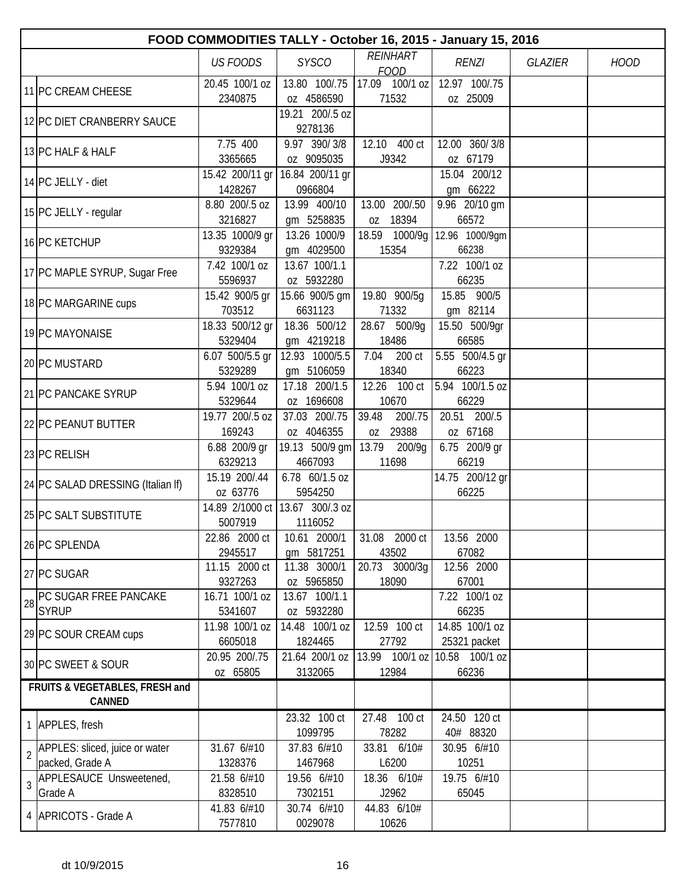|                |                                          |                            |                              | FOOD COMMODITIES TALLY - October 16, 2015 - January 15, 2016 |                                |                |             |
|----------------|------------------------------------------|----------------------------|------------------------------|--------------------------------------------------------------|--------------------------------|----------------|-------------|
|                |                                          | <b>US FOODS</b>            | <b>SYSCO</b>                 | <b>REINHART</b><br><b>FOOD</b>                               | <b>RENZI</b>                   | <b>GLAZIER</b> | <b>HOOD</b> |
|                | 11 PC CREAM CHEESE                       | 20.45 100/1 oz<br>2340875  | 13.80 100/.75<br>oz 4586590  | 17.09 100/1 oz<br>71532                                      | 12.97 100/.75<br>oz 25009      |                |             |
|                | 12 PC DIET CRANBERRY SAUCE               |                            | 19.21 200/.5 oz<br>9278136   |                                                              |                                |                |             |
|                | 13 PC HALF & HALF                        | 7.75 400<br>3365665        | 9.97 390/3/8<br>oz 9095035   | 12.10 400 ct<br>J9342                                        | 12.00 360/3/8<br>oz 67179      |                |             |
|                | 14 PC JELLY - diet                       | 15.42 200/11 gr<br>1428267 | 16.84 200/11 gr<br>0966804   |                                                              | 15.04 200/12<br>gm 66222       |                |             |
|                | 15 PC JELLY - regular                    | 8.80 200/.5 oz<br>3216827  | 13.99 400/10<br>gm 5258835   | 13.00 200/.50<br>18394<br>0Z                                 | 9.96 20/10 gm<br>66572         |                |             |
|                | 16 PC KETCHUP                            | 13.35 1000/9 gr<br>9329384 | 13.26 1000/9<br>gm 4029500   | 18.59 1000/9g<br>15354                                       | 12.96 1000/9gm<br>66238        |                |             |
|                | 17 PC MAPLE SYRUP, Sugar Free            | 7.42 100/1 oz<br>5596937   | 13.67 100/1.1<br>oz 5932280  |                                                              | 7.22 100/1 oz<br>66235         |                |             |
|                | 18 PC MARGARINE cups                     | 15.42 900/5 gr<br>703512   | 15.66 900/5 gm<br>6631123    | 19.80 900/5g<br>71332                                        | 15.85 900/5<br>gm 82114        |                |             |
|                | 19 PC MAYONAISE                          | 18.33 500/12 gr<br>5329404 | 18.36 500/12<br>gm 4219218   | 28.67 500/9g<br>18486                                        | 15.50 500/9gr<br>66585         |                |             |
|                | 20 PC MUSTARD                            | 6.07 500/5.5 gr<br>5329289 | 12.93 1000/5.5<br>gm 5106059 | 7.04<br>200 ct<br>18340                                      | 5.55 500/4.5 gr<br>66223       |                |             |
|                | 21 PC PANCAKE SYRUP                      | 5.94 100/1 oz<br>5329644   | 17.18 200/1.5<br>oz 1696608  | 12.26 100 ct<br>10670                                        | 5.94 100/1.5 oz<br>66229       |                |             |
|                | 22 PC PEANUT BUTTER                      | 19.77 200/.5 oz<br>169243  | 37.03 200/.75<br>oz 4046355  | 39.48<br>200/.75<br>0Z 29388                                 | 20.51 200/.5<br>oz 67168       |                |             |
|                | 23 PC RELISH                             | 6.88 200/9 gr<br>6329213   | 19.13 500/9 gm<br>4667093    | 13.79<br>200/9g<br>11698                                     | 6.75 200/9 gr<br>66219         |                |             |
|                | 24 PC SALAD DRESSING (Italian If)        | 15.19 200/.44<br>oz 63776  | 6.78 60/1.5 oz<br>5954250    |                                                              | 14.75 200/12 gr<br>66225       |                |             |
|                | 25 PC SALT SUBSTITUTE                    | 14.89 2/1000 ct<br>5007919 | 13.67 300/.3 oz<br>1116052   |                                                              |                                |                |             |
|                | 26 PC SPLENDA                            | 22.86 2000 ct<br>2945517   | 10.61 2000/1<br>gm 5817251   | 31.08 2000 ct<br>43502                                       | 13.56 2000<br>67082            |                |             |
|                | 27 PC SUGAR                              | 11.15 2000 ct<br>9327263   | 11.38 3000/1<br>oz 5965850   | 20.73 3000/3g<br>18090                                       | 12.56 2000<br>67001            |                |             |
| 28             | PC SUGAR FREE PANCAKE<br><b>SYRUP</b>    | 16.71 100/1 oz<br>5341607  | 13.67 100/1.1<br>oz 5932280  |                                                              | 7.22 100/1 oz<br>66235         |                |             |
|                | 29 PC SOUR CREAM cups                    | 11.98 100/1 oz<br>6605018  | 14.48 100/1 oz<br>1824465    | 12.59 100 ct<br>27792                                        | 14.85 100/1 oz<br>25321 packet |                |             |
|                | 30 PC SWEET & SOUR                       | 20.95 200/.75<br>oz 65805  | 21.64 200/1 oz<br>3132065    | 13.99 100/1 oz<br>12984                                      | 10.58 100/1 oz<br>66236        |                |             |
|                | FRUITS & VEGETABLES, FRESH and<br>CANNED |                            |                              |                                                              |                                |                |             |
|                | 1 APPLES, fresh                          |                            | 23.32 100 ct                 | 27.48 100 ct                                                 | 24.50 120 ct                   |                |             |
| $\overline{2}$ | APPLES: sliced, juice or water           | 31.67 6/#10                | 1099795<br>37.83 6/#10       | 78282<br>33.81 6/10#                                         | 40# 88320<br>30.95 6/#10       |                |             |
|                | packed, Grade A                          | 1328376                    | 1467968                      | L6200                                                        | 10251                          |                |             |
| $\overline{3}$ | APPLESAUCE Unsweetened,<br>Grade A       | 21.58 6/#10<br>8328510     | 19.56 6/#10<br>7302151       | 18.36 6/10#<br>J2962                                         | 19.75 6/#10<br>65045           |                |             |
|                | 4   APRICOTS - Grade A                   | 41.83 6/#10<br>7577810     | 30.74 6/#10<br>0029078       | 44.83 6/10#<br>10626                                         |                                |                |             |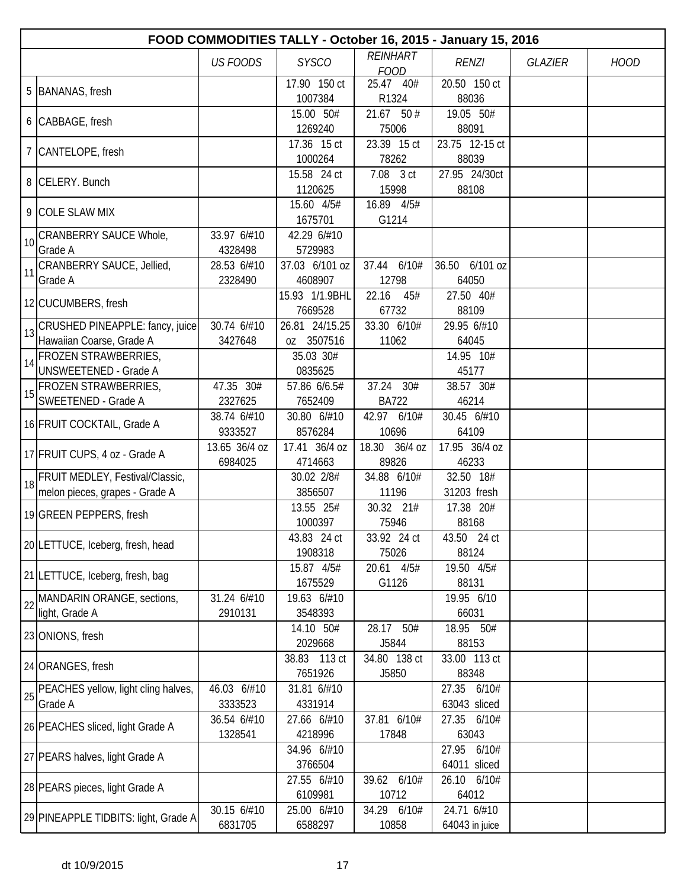|    | FOOD COMMODITIES TALLY - October 16, 2015 - January 15, 2016         |                          |                              |                                |                                |                |             |  |  |  |
|----|----------------------------------------------------------------------|--------------------------|------------------------------|--------------------------------|--------------------------------|----------------|-------------|--|--|--|
|    |                                                                      | <b>US FOODS</b>          | <b>SYSCO</b>                 | <b>REINHART</b><br><b>FOOD</b> | <b>RENZI</b>                   | <b>GLAZIER</b> | <b>HOOD</b> |  |  |  |
|    | 5 BANANAS, fresh                                                     |                          | 17.90 150 ct<br>1007384      | 25.47 40#<br>R1324             | 20.50 150 ct<br>88036          |                |             |  |  |  |
|    | 6 CABBAGE, fresh                                                     |                          | 15.00 50#<br>1269240         | $21.67$ 50 #<br>75006          | 19.05 50#<br>88091             |                |             |  |  |  |
|    | 7 CANTELOPE, fresh                                                   |                          | 17.36 15 ct<br>1000264       | 23.39 15 ct<br>78262           | 23.75 12-15 ct<br>88039        |                |             |  |  |  |
|    | 8 CELERY. Bunch                                                      |                          | 15.58 24 ct<br>1120625       | 7.08 3 ct<br>15998             | 27.95 24/30ct<br>88108         |                |             |  |  |  |
|    | 9 COLE SLAW MIX                                                      |                          | 15.60 4/5#<br>1675701        | 16.89 4/5#<br>G1214            |                                |                |             |  |  |  |
| 10 | CRANBERRY SAUCE Whole,<br>Grade A                                    | 33.97 6/#10<br>4328498   | 42.29 6/#10<br>5729983       |                                |                                |                |             |  |  |  |
| 11 | CRANBERRY SAUCE, Jellied,<br>Grade A                                 | 28.53 6/#10<br>2328490   | 37.03 6/101 oz<br>4608907    | 37.44 6/10#<br>12798           | 36.50 6/101 oz<br>64050        |                |             |  |  |  |
|    | 12 CUCUMBERS, fresh                                                  |                          | 15.93 1/1.9BHL<br>7669528    | 22.16<br>45#<br>67732          | 27.50 40#<br>88109             |                |             |  |  |  |
| 13 | CRUSHED PINEAPPLE: fancy, juice<br>Hawaiian Coarse, Grade A          | 30.74 6/#10<br>3427648   | 26.81 24/15.25<br>oz 3507516 | 33.30 6/10#<br>11062           | 29.95 6/#10<br>64045           |                |             |  |  |  |
| 14 | <b>FROZEN STRAWBERRIES,</b><br><b>UNSWEETENED - Grade A</b>          |                          | 35.03 30#<br>0835625         |                                | 14.95 10#<br>45177             |                |             |  |  |  |
| 15 | <b>FROZEN STRAWBERRIES,</b><br>SWEETENED - Grade A                   | 47.35 30#<br>2327625     | 57.86 6/6.5#<br>7652409      | 37.24 30#<br><b>BA722</b>      | 38.57 30#<br>46214             |                |             |  |  |  |
|    | 16 FRUIT COCKTAIL, Grade A                                           | 38.74 6/#10<br>9333527   | 30.80 6/#10<br>8576284       | 42.97 6/10#<br>10696           | 30.45 6/#10<br>64109           |                |             |  |  |  |
|    | 17 FRUIT CUPS, 4 oz - Grade A                                        | 13.65 36/4 oz<br>6984025 | 17.41 36/4 oz<br>4714663     | 18.30 36/4 oz<br>89826         | 17.95 36/4 oz<br>46233         |                |             |  |  |  |
|    | 18 FRUIT MEDLEY, Festival/Classic,<br>melon pieces, grapes - Grade A |                          | 30.02 2/8#<br>3856507        | 34.88 6/10#<br>11196           | 32.50 18#<br>31203 fresh       |                |             |  |  |  |
|    | 19 GREEN PEPPERS, fresh                                              |                          | 13.55 25#<br>1000397         | 30.32 21#<br>75946             | 17.38 20#<br>88168             |                |             |  |  |  |
|    | 20 LETTUCE, Iceberg, fresh, head                                     |                          | 43.83 24 ct<br>1908318       | 33.92 24 ct<br>75026           | 43.50 24 ct<br>88124           |                |             |  |  |  |
|    | 21 LETTUCE, Iceberg, fresh, bag                                      |                          | 15.87 4/5#<br>1675529        | 20.61 4/5#<br>G1126            | 19.50 4/5#<br>88131            |                |             |  |  |  |
|    | 22 MANDARIN ORANGE, sections,<br>light, Grade A                      | 31.24 6/#10<br>2910131   | 19.63 6/#10<br>3548393       |                                | 19.95 6/10<br>66031            |                |             |  |  |  |
|    | 23 ONIONS, fresh                                                     |                          | 14.10 50#<br>2029668         | 28.17 50#<br>J5844             | 18.95 50#<br>88153             |                |             |  |  |  |
|    | 24 ORANGES, fresh                                                    |                          | 38.83 113 ct<br>7651926      | 34.80 138 ct<br>J5850          | 33.00 113 ct<br>88348          |                |             |  |  |  |
| 25 | PEACHES yellow, light cling halves,<br>Grade A                       | 46.03 6/#10<br>3333523   | 31.81 6/#10<br>4331914       |                                | 27.35 6/10#<br>63043 sliced    |                |             |  |  |  |
|    | 26 PEACHES sliced, light Grade A                                     | 36.54 6/#10<br>1328541   | 27.66 6/#10<br>4218996       | 37.81 6/10#<br>17848           | 27.35 6/10#<br>63043           |                |             |  |  |  |
|    | 27 PEARS halves, light Grade A                                       |                          | 34.96 6/#10<br>3766504       |                                | 27.95<br>6/10#<br>64011 sliced |                |             |  |  |  |
|    | 28 PEARS pieces, light Grade A                                       |                          | 27.55 6/#10<br>6109981       | 39.62 6/10#<br>10712           | 26.10 6/10#<br>64012           |                |             |  |  |  |
|    | 29 PINEAPPLE TIDBITS: light, Grade A                                 | 30.15 6/#10<br>6831705   | 25.00 6/#10<br>6588297       | 34.29 6/10#<br>10858           | 24.71 6/#10<br>64043 in juice  |                |             |  |  |  |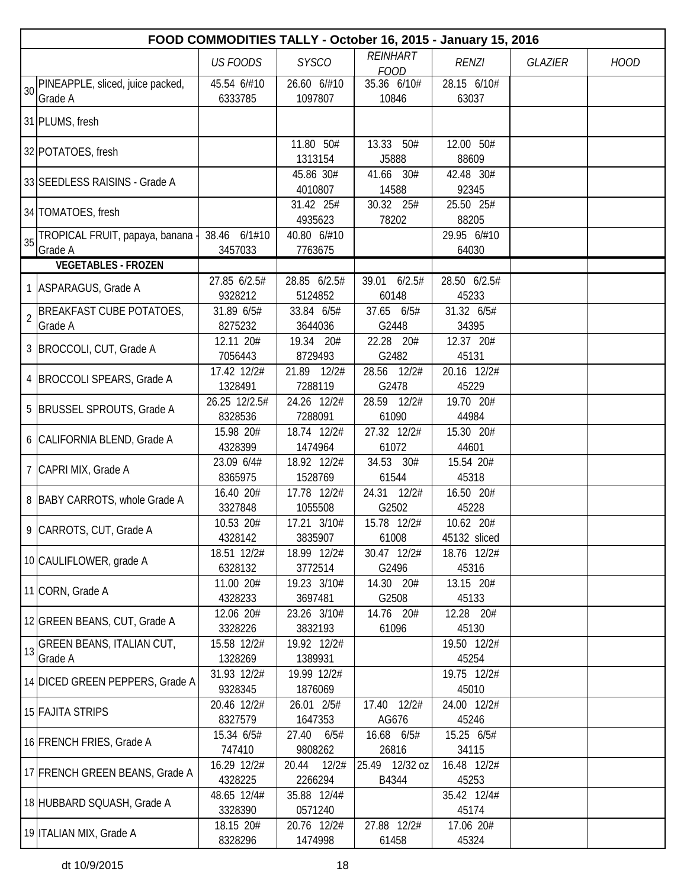|    |                                           |                         |                           | FOOD COMMODITIES TALLY - October 16, 2015 - January 15, 2016 |                       |                |             |
|----|-------------------------------------------|-------------------------|---------------------------|--------------------------------------------------------------|-----------------------|----------------|-------------|
|    |                                           | <b>US FOODS</b>         | <b>SYSCO</b>              | <b>REINHART</b>                                              | <b>RENZI</b>          | <b>GLAZIER</b> | <b>HOOD</b> |
|    | PINEAPPLE, sliced, juice packed,          | 45.54 6/#10             | 26.60 6/#10               | <b>FOOD</b><br>35.36 6/10#                                   | 28.15 6/10#           |                |             |
| 30 | Grade A                                   | 6333785                 | 1097807                   | 10846                                                        | 63037                 |                |             |
|    | 31 PLUMS, fresh                           |                         |                           |                                                              |                       |                |             |
|    | 32 POTATOES, fresh                        |                         | 11.80 50#<br>1313154      | 13.33 50#<br>J5888                                           | 12.00 50#<br>88609    |                |             |
|    | 33 SEEDLESS RAISINS - Grade A             |                         | 45.86 30#<br>4010807      | 41.66 30#<br>14588                                           | 42.48 30#<br>92345    |                |             |
|    | 34 TOMATOES, fresh                        |                         | 31.42 25#<br>4935623      | 30.32 25#<br>78202                                           | 25.50 25#<br>88205    |                |             |
| 35 | TROPICAL FRUIT, papaya, banana<br>Grade A | 38.46 6/1#10<br>3457033 | 40.80 6/#10<br>7763675    |                                                              | 29.95 6/#10<br>64030  |                |             |
|    | <b>VEGETABLES - FROZEN</b>                |                         |                           |                                                              |                       |                |             |
|    | 1 ASPARAGUS, Grade A                      | 27.85 6/2.5#<br>9328212 | 28.85 6/2.5#<br>5124852   | 6/2.5#<br>39.01<br>60148                                     | 28.50 6/2.5#<br>45233 |                |             |
|    | <b>BREAKFAST CUBE POTATOES,</b>           | 31.89 6/5#              | 33.84 6/5#                | 37.65 6/5#                                                   | 31.32 6/5#            |                |             |
| 2  | Grade A                                   | 8275232                 | 3644036                   | G2448                                                        | 34395                 |                |             |
|    | 3 BROCCOLI, CUT, Grade A                  | 12.11 20#<br>7056443    | 19.34 20#<br>8729493      | 22.28 20#<br>G2482                                           | 12.37 20#<br>45131    |                |             |
|    | 4 BROCCOLI SPEARS, Grade A                | 17.42 12/2#<br>1328491  | 21.89 12/2#<br>7288119    | 28.56 12/2#<br>G2478                                         | 20.16 12/2#<br>45229  |                |             |
|    |                                           | 26.25 12/2.5#           | 24.26 12/2#               | 28.59 12/2#                                                  | 19.70 20#             |                |             |
|    | 5 BRUSSEL SPROUTS, Grade A                | 8328536                 | 7288091                   | 61090                                                        | 44984                 |                |             |
|    | 6 CALIFORNIA BLEND, Grade A               | 15.98 20#               | 18.74 12/2#               | 27.32 12/2#                                                  | 15.30 20#             |                |             |
|    |                                           | 4328399                 | 1474964                   | 61072                                                        | 44601                 |                |             |
|    | 7 CAPRI MIX, Grade A                      | 23.09 6/4#              | 18.92 12/2#               | 34.53 30#                                                    | 15.54 20#             |                |             |
|    |                                           | 8365975                 | 1528769                   | 61544                                                        | 45318                 |                |             |
|    | 8 BABY CARROTS, whole Grade A             | 16.40 20#<br>3327848    | 17.78 12/2#<br>1055508    | 24.31 12/2#<br>G2502                                         | 16.50 20#<br>45228    |                |             |
|    |                                           | 10.53 20#               | 17.21 3/10#               | 15.78 12/2#                                                  | 10.62 20#             |                |             |
|    | 9 CARROTS, CUT, Grade A                   | 4328142                 | 3835907                   | 61008                                                        | 45132 sliced          |                |             |
|    | 10 CAULIFLOWER, grade A                   | 18.51 12/2#             | 18.99 12/2#               | 30.47 12/2#                                                  | 18.76 12/2#           |                |             |
|    |                                           | 6328132                 | 3772514                   | G2496                                                        | 45316                 |                |             |
|    | 11 CORN, Grade A                          | 11.00 20#               | 19.23 3/10#               | 14.30 20#                                                    | 13.15 20#             |                |             |
|    |                                           | 4328233                 | 3697481                   | G2508                                                        | 45133                 |                |             |
|    | 12 GREEN BEANS, CUT, Grade A              | 12.06 20#<br>3328226    | 23.26 3/10#<br>3832193    | 14.76 20#<br>61096                                           | 12.28 20#<br>45130    |                |             |
|    | <b>GREEN BEANS, ITALIAN CUT,</b>          | 15.58 12/2#             | 19.92 12/2#               |                                                              | 19.50 12/2#           |                |             |
| 13 | Grade A                                   | 1328269                 | 1389931                   |                                                              | 45254                 |                |             |
|    |                                           | 31.93 12/2#             | 19.99 12/2#               |                                                              | 19.75 12/2#           |                |             |
|    | 14 DICED GREEN PEPPERS, Grade A           | 9328345                 | 1876069                   |                                                              | 45010                 |                |             |
|    | 15 FAJITA STRIPS                          | 20.46 12/2#             | 26.01 2/5#                | 12/2#<br>17.40                                               | 24.00 12/2#           |                |             |
|    |                                           | 8327579                 | 1647353                   | AG676                                                        | 45246                 |                |             |
|    | 16 FRENCH FRIES, Grade A                  | 15.34 6/5#<br>747410    | 27.40<br>6/5#<br>9808262  | 16.68 6/5#<br>26816                                          | 15.25 6/5#<br>34115   |                |             |
|    | 17 FRENCH GREEN BEANS, Grade A            | 16.29 12/2#<br>4328225  | 20.44<br>12/2#<br>2266294 | 25.49 12/32 oz<br>B4344                                      | 16.48 12/2#<br>45253  |                |             |
|    | 18 HUBBARD SQUASH, Grade A                | 48.65 12/4#<br>3328390  | 35.88 12/4#<br>0571240    |                                                              | 35.42 12/4#<br>45174  |                |             |
|    |                                           | 18.15 20#               | 20.76 12/2#               | 27.88 12/2#                                                  | 17.06 20#             |                |             |
|    | 19 ITALIAN MIX, Grade A                   | 8328296                 | 1474998                   | 61458                                                        | 45324                 |                |             |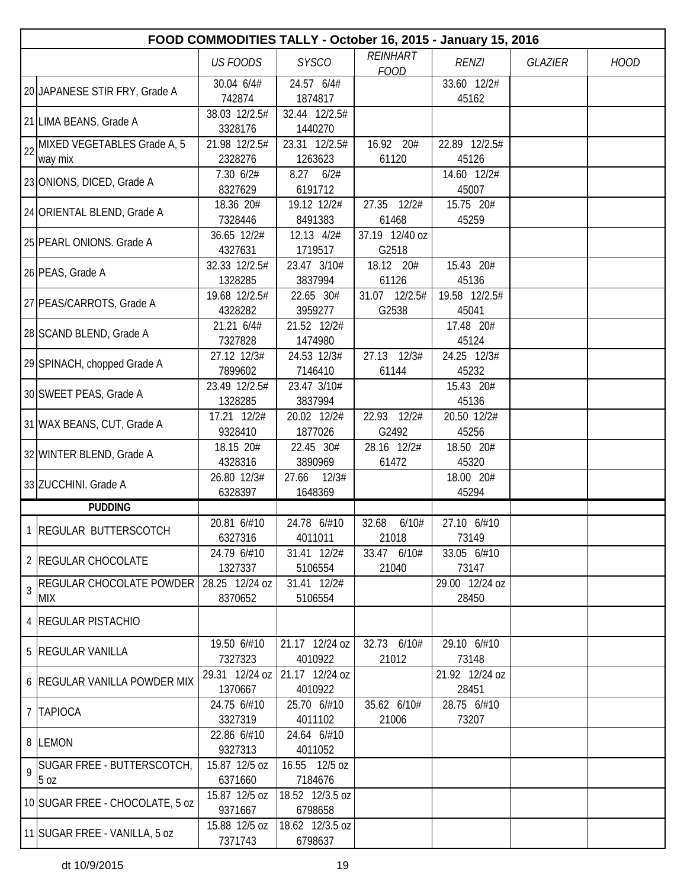|    | FOOD COMMODITIES TALLY - October 16, 2015 - January 15, 2016 |                           |                            |                         |                         |                |             |  |  |  |
|----|--------------------------------------------------------------|---------------------------|----------------------------|-------------------------|-------------------------|----------------|-------------|--|--|--|
|    |                                                              | <b>US FOODS</b>           | <b>SYSCO</b>               | REINHART<br><b>FOOD</b> | <b>RENZI</b>            | <b>GLAZIER</b> | <b>HOOD</b> |  |  |  |
|    | 20 JAPANESE STIR FRY, Grade A                                | 30.04 6/4#<br>742874      | 24.57 6/4#<br>1874817      |                         | 33.60 12/2#<br>45162    |                |             |  |  |  |
|    | 21 LIMA BEANS, Grade A                                       | 38.03 12/2.5#<br>3328176  | 32.44 12/2.5#<br>1440270   |                         |                         |                |             |  |  |  |
| 22 | MIXED VEGETABLES Grade A, 5<br>way mix                       | 21.98 12/2.5#<br>2328276  | 23.31 12/2.5#<br>1263623   | 16.92 20#<br>61120      | 22.89 12/2.5#<br>45126  |                |             |  |  |  |
|    | 23 ONIONS, DICED, Grade A                                    | 7.30 6/2#<br>8327629      | $8.27$ $6/2#$<br>6191712   |                         | 14.60 12/2#<br>45007    |                |             |  |  |  |
|    | 24 ORIENTAL BLEND, Grade A                                   | 18.36 20#<br>7328446      | 19.12 12/2#<br>8491383     | 27.35 12/2#<br>61468    | 15.75 20#<br>45259      |                |             |  |  |  |
|    | 25 PEARL ONIONS. Grade A                                     | 36.65 12/2#<br>4327631    | 12.13 4/2#<br>1719517      | 37.19 12/40 oz<br>G2518 |                         |                |             |  |  |  |
|    | 26 PEAS, Grade A                                             | 32.33 12/2.5#<br>1328285  | 23.47 3/10#<br>3837994     | 18.12 20#<br>61126      | 15.43 20#<br>45136      |                |             |  |  |  |
|    | 27 PEAS/CARROTS, Grade A                                     | 19.68 12/2.5#<br>4328282  | 22.65 30#<br>3959277       | 31.07 12/2.5#<br>G2538  | 19.58 12/2.5#<br>45041  |                |             |  |  |  |
|    | 28 SCAND BLEND, Grade A                                      | 21.21 6/4#<br>7327828     | 21.52 12/2#<br>1474980     |                         | 17.48 20#<br>45124      |                |             |  |  |  |
|    | 29 SPINACH, chopped Grade A                                  | 27.12 12/3#<br>7899602    | 24.53 12/3#<br>7146410     | 27.13 12/3#<br>61144    | 24.25 12/3#<br>45232    |                |             |  |  |  |
|    | 30 SWEET PEAS, Grade A                                       | 23.49 12/2.5#<br>1328285  | 23.47 3/10#<br>3837994     |                         | 15.43 20#<br>45136      |                |             |  |  |  |
|    | 31 WAX BEANS, CUT, Grade A                                   | 17.21 12/2#<br>9328410    | 20.02 12/2#<br>1877026     | 22.93 12/2#<br>G2492    | 20.50 12/2#<br>45256    |                |             |  |  |  |
|    | 32 WINTER BLEND, Grade A                                     | 18.15 20#<br>4328316      | 22.45 30#<br>3890969       | 28.16 12/2#<br>61472    | 18.50 20#<br>45320      |                |             |  |  |  |
|    | 33 ZUCCHINI. Grade A                                         | 26.80 12/3#<br>6328397    | 12/3#<br>27.66<br>1648369  |                         | 18.00 20#<br>45294      |                |             |  |  |  |
|    | <b>PUDDING</b>                                               |                           |                            |                         |                         |                |             |  |  |  |
|    | 1 REGULAR BUTTERSCOTCH                                       | 20.81 6/#10<br>6327316    | 24.78 6/#10<br>4011011     | 32.68<br>6/10#<br>21018 | 27.10 6/#10<br>73149    |                |             |  |  |  |
|    | 2   REGULAR CHOCOLATE                                        | 24.79 6/#10<br>1327337    | 31.41 12/2#<br>5106554     | 33.47 6/10#<br>21040    | 33.05 6/#10<br>73147    |                |             |  |  |  |
| 3  | <b>REGULAR CHOCOLATE POWDER</b><br>MIX                       | 28.25 12/24 oz<br>8370652 | 31.41 12/2#<br>5106554     |                         | 29.00 12/24 oz<br>28450 |                |             |  |  |  |
|    | 4 REGULAR PISTACHIO                                          |                           |                            |                         |                         |                |             |  |  |  |
|    | 5 REGULAR VANILLA                                            | 19.50 6/#10<br>7327323    | 21.17 12/24 oz<br>4010922  | 32.73 6/10#<br>21012    | 29.10 6/#10<br>73148    |                |             |  |  |  |
|    | 6 REGULAR VANILLA POWDER MIX                                 | 29.31 12/24 oz<br>1370667 | 21.17 12/24 oz<br>4010922  |                         | 21.92 12/24 oz<br>28451 |                |             |  |  |  |
|    | 7 TAPIOCA                                                    | 24.75 6/#10<br>3327319    | 25.70 6/#10<br>4011102     | 35.62 6/10#<br>21006    | 28.75 6/#10<br>73207    |                |             |  |  |  |
|    | 8 LEMON                                                      | 22.86 6/#10<br>9327313    | 24.64 6/#10<br>4011052     |                         |                         |                |             |  |  |  |
| 9  | SUGAR FREE - BUTTERSCOTCH,<br>5 oz                           | 15.87 12/5 oz<br>6371660  | 16.55 12/5 oz<br>7184676   |                         |                         |                |             |  |  |  |
|    | 10 SUGAR FREE - CHOCOLATE, 5 oz                              | 15.87 12/5 oz<br>9371667  | 18.52 12/3.5 oz<br>6798658 |                         |                         |                |             |  |  |  |
|    | 11 SUGAR FREE - VANILLA, 5 oz                                | 15.88 12/5 oz<br>7371743  | 18.62 12/3.5 oz<br>6798637 |                         |                         |                |             |  |  |  |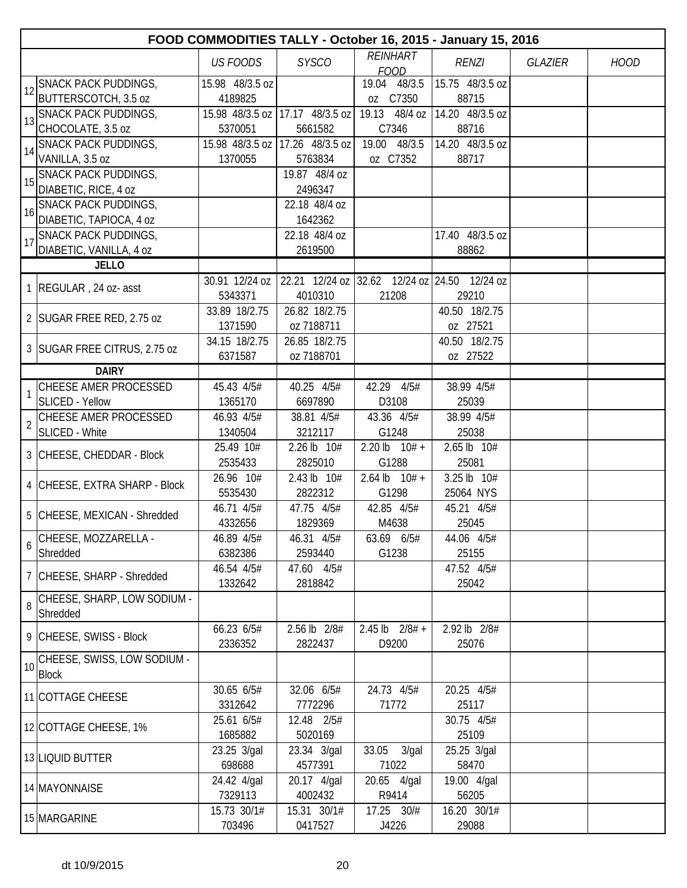|                 | FOOD COMMODITIES TALLY - October 16, 2015 - January 15, 2016 |                            |                            |                                              |                          |                |             |  |  |
|-----------------|--------------------------------------------------------------|----------------------------|----------------------------|----------------------------------------------|--------------------------|----------------|-------------|--|--|
|                 |                                                              | <b>US FOODS</b>            | <b>SYSCO</b>               | <b>REINHART</b>                              | <b>RENZI</b>             | <b>GLAZIER</b> | <b>HOOD</b> |  |  |
|                 |                                                              |                            |                            | <b>FOOD</b>                                  |                          |                |             |  |  |
| 12              | <b>SNACK PACK PUDDINGS,</b>                                  | 15.98 48/3.5 oz            |                            | 19.04 48/3.5                                 | 15.75 48/3.5 oz          |                |             |  |  |
|                 | BUTTERSCOTCH, 3.5 oz                                         | 4189825                    |                            | oz C7350                                     | 88715                    |                |             |  |  |
|                 | SNACK PACK PUDDINGS,                                         | 15.98 48/3.5 oz            | 17.17 48/3.5 oz            | 19.13 48/4 oz                                | 14.20 48/3.5 oz<br>88716 |                |             |  |  |
|                 | CHOCOLATE, 3.5 oz<br><b>SNACK PACK PUDDINGS,</b>             | 5370051<br>15.98 48/3.5 oz | 5661582<br>17.26 48/3.5 oz | C7346<br>19.00 48/3.5                        | 14.20 48/3.5 oz          |                |             |  |  |
| 14              | VANILLA, 3.5 oz                                              | 1370055                    | 5763834                    | oz C7352                                     | 88717                    |                |             |  |  |
|                 | SNACK PACK PUDDINGS,                                         |                            | 19.87 48/4 oz              |                                              |                          |                |             |  |  |
|                 | DIABETIC, RICE, 4 oz                                         |                            | 2496347                    |                                              |                          |                |             |  |  |
|                 | <b>SNACK PACK PUDDINGS,</b>                                  |                            | 22.18 48/4 oz              |                                              |                          |                |             |  |  |
| 16              | DIABETIC, TAPIOCA, 4 oz                                      |                            | 1642362                    |                                              |                          |                |             |  |  |
| 17              | <b>SNACK PACK PUDDINGS,</b>                                  |                            | 22.18 48/4 oz              |                                              | 17.40 48/3.5 oz          |                |             |  |  |
|                 | DIABETIC, VANILLA, 4 oz                                      |                            | 2619500                    |                                              | 88862                    |                |             |  |  |
|                 | <b>JELLO</b>                                                 |                            |                            |                                              |                          |                |             |  |  |
|                 | 1 REGULAR, 24 oz- asst                                       | $30.91$ 12/24 oz           |                            | 22.21 12/24 oz 32.62 12/24 oz 24.50 12/24 oz |                          |                |             |  |  |
|                 |                                                              | 5343371                    | 4010310                    | 21208                                        | 29210                    |                |             |  |  |
|                 | 2 SUGAR FREE RED, 2.75 oz                                    | 33.89 18/2.75              | 26.82 18/2.75              |                                              | 40.50 18/2.75            |                |             |  |  |
|                 |                                                              | 1371590                    | oz 7188711                 |                                              | oz 27521                 |                |             |  |  |
|                 | 3 SUGAR FREE CITRUS, 2.75 oz                                 | 34.15 18/2.75              | 26.85 18/2.75              |                                              | 40.50 18/2.75            |                |             |  |  |
|                 |                                                              | 6371587                    | oz 7188701                 |                                              | oz 27522                 |                |             |  |  |
|                 | <b>DAIRY</b>                                                 |                            |                            |                                              |                          |                |             |  |  |
|                 | CHEESE AMER PROCESSED                                        | 45.43 4/5#                 | $\overline{40.25}$ 4/5#    | 42.29 4/5#                                   | 38.99 4/5#               |                |             |  |  |
|                 | <b>SLICED - Yellow</b>                                       | 1365170                    | 6697890                    | D3108                                        | 25039                    |                |             |  |  |
| $\overline{2}$  | CHEESE AMER PROCESSED                                        | 46.93 4/5#                 | 38.81 4/5#                 | 43.36 4/5#                                   | 38.99 4/5#               |                |             |  |  |
|                 | SLICED - White                                               | 1340504                    | 3212117                    | G1248<br>2.20 <sub>lb</sub>                  | 25038<br>2.65 lb 10#     |                |             |  |  |
|                 | 3 CHEESE, CHEDDAR - Block                                    | 25.49 10#<br>2535433       | 2.26 lb 10#<br>2825010     | $10# +$<br>G1288                             | 25081                    |                |             |  |  |
|                 |                                                              | 26.96 10#                  | 2.43 lb 10#                | $2.64$ lb<br>$10# +$                         | 3.25 lb 10#              |                |             |  |  |
|                 | 4 CHEESE, EXTRA SHARP - Block                                | 5535430                    | 2822312                    | G1298                                        | 25064 NYS                |                |             |  |  |
|                 |                                                              | 46.71 4/5#                 | 47.75 4/5#                 | 42.85 4/5#                                   | 45.21 4/5#               |                |             |  |  |
|                 | 5 CHEESE, MEXICAN - Shredded                                 | 4332656                    | 1829369                    | M4638                                        | 25045                    |                |             |  |  |
|                 | CHEESE, MOZZARELLA -                                         | 46.89 4/5#                 | 46.31 4/5#                 | 63.69 6/5#                                   | 44.06 4/5#               |                |             |  |  |
| 6               | Shredded                                                     | 6382386                    | 2593440                    | G1238                                        | 25155                    |                |             |  |  |
|                 |                                                              | 46.54 4/5#                 | 47.60 4/5#                 |                                              | 47.52 4/5#               |                |             |  |  |
|                 | 7 CHEESE, SHARP - Shredded                                   | 1332642                    | 2818842                    |                                              | 25042                    |                |             |  |  |
| 8               | CHEESE, SHARP, LOW SODIUM -                                  |                            |                            |                                              |                          |                |             |  |  |
|                 | Shredded                                                     |                            |                            |                                              |                          |                |             |  |  |
|                 | 9 CHEESE, SWISS - Block                                      | 66.23 6/5#                 | 2.56 lb 2/8#               | $2.45$ lb $2/8#$ +                           | 2.92 lb 2/8#             |                |             |  |  |
|                 |                                                              | 2336352                    | 2822437                    | D9200                                        | 25076                    |                |             |  |  |
| 10 <sup>1</sup> | CHEESE, SWISS, LOW SODIUM -<br><b>Block</b>                  |                            |                            |                                              |                          |                |             |  |  |
|                 | 11 COTTAGE CHEESE                                            | 30.65 6/5#                 | 32.06 6/5#                 | 24.73 4/5#                                   | 20.25 4/5#               |                |             |  |  |
|                 |                                                              | 3312642                    | 7772296                    | 71772                                        | 25117                    |                |             |  |  |
|                 | 12 COTTAGE CHEESE, 1%                                        | 25.61 6/5#                 | 12.48 2/5#                 |                                              | 30.75 4/5#               |                |             |  |  |
|                 |                                                              | 1685882                    | 5020169                    |                                              | 25109                    |                |             |  |  |
|                 | 13 LIQUID BUTTER                                             | 23.25 3/gal                | 23.34 3/gal                | 33.05 3/gal                                  | 25.25 3/gal              |                |             |  |  |
|                 |                                                              | 698688                     | 4577391                    | 71022                                        | 58470                    |                |             |  |  |
|                 | 14 MAYONNAISE                                                | 24.42 4/gal                | 20.17 4/gal                | 20.65 4/gal                                  | 19.00 4/gal              |                |             |  |  |
|                 |                                                              | 7329113                    | 4002432                    | R9414                                        | 56205                    |                |             |  |  |
|                 | 15 MARGARINE                                                 | 15.73 30/1#                | 15.31 30/1#                | 17.25 30/#                                   | 16.20 30/1#              |                |             |  |  |
|                 |                                                              | 703496                     | 0417527                    | J4226                                        | 29088                    |                |             |  |  |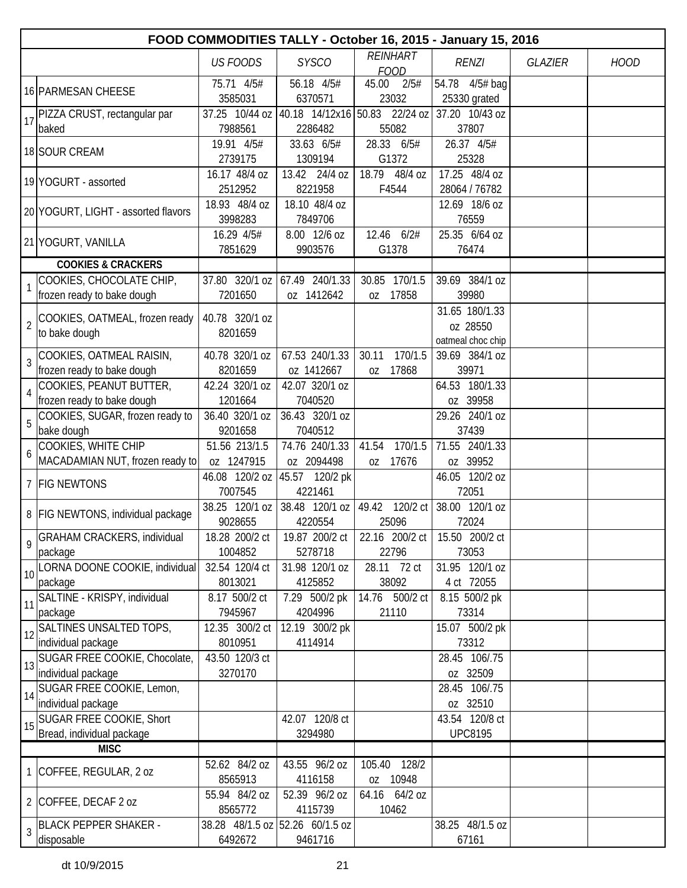|                | FOOD COMMODITIES TALLY - October 16, 2015 - January 15, 2016 |                             |                                            |                                 |                                                 |                |             |  |  |
|----------------|--------------------------------------------------------------|-----------------------------|--------------------------------------------|---------------------------------|-------------------------------------------------|----------------|-------------|--|--|
|                |                                                              | <b>US FOODS</b>             | <b>SYSCO</b>                               | <b>REINHART</b><br><b>FOOD</b>  | <b>RENZI</b>                                    | <b>GLAZIER</b> | <b>HOOD</b> |  |  |
|                | 16 PARMESAN CHEESE                                           | 75.71 4/5#<br>3585031       | 56.18 4/5#<br>6370571                      | 45.00<br>2/5#<br>23032          | 54.78 4/5# bag<br>25330 grated                  |                |             |  |  |
| 17             | PIZZA CRUST, rectangular par<br>baked                        | 37.25 10/44 oz<br>7988561   | 40.18 14/12x16<br>2286482                  | 50.83 22/24 oz<br>55082         | 37.20 10/43 oz<br>37807                         |                |             |  |  |
|                | 18 SOUR CREAM                                                | 19.91 4/5#<br>2739175       | 33.63 6/5#<br>1309194                      | 28.33 6/5#<br>G1372             | 26.37 4/5#<br>25328                             |                |             |  |  |
|                | 19 YOGURT - assorted                                         | 16.17 48/4 oz<br>2512952    | 13.42 24/4 oz<br>8221958                   | 18.79 48/4 oz<br>F4544          | 17.25 48/4 oz<br>28064 / 76782                  |                |             |  |  |
|                | 20 YOGURT, LIGHT - assorted flavors                          | 18.93 48/4 oz<br>3998283    | 18.10 48/4 oz<br>7849706                   |                                 | 12.69 18/6 oz<br>76559                          |                |             |  |  |
|                | 21 YOGURT, VANILLA                                           | 16.29 4/5#<br>7851629       | 8.00 12/6 oz<br>9903576                    | 12.46 6/2#<br>G1378             | 25.35 6/64 oz<br>76474                          |                |             |  |  |
|                | <b>COOKIES &amp; CRACKERS</b>                                |                             |                                            |                                 |                                                 |                |             |  |  |
|                | COOKIES, CHOCOLATE CHIP,<br>frozen ready to bake dough       | 37.80 320/1 oz<br>7201650   | 67.49 240/1.33<br>oz 1412642               | 30.85<br>170/1.5<br>17858<br>OZ | 39.69 384/1 oz<br>39980                         |                |             |  |  |
| $\overline{2}$ | COOKIES, OATMEAL, frozen ready<br>to bake dough              | 40.78 320/1 oz<br>8201659   |                                            |                                 | 31.65 180/1.33<br>oz 28550<br>oatmeal choc chip |                |             |  |  |
| $\overline{3}$ | COOKIES, OATMEAL RAISIN,<br>frozen ready to bake dough       | 40.78 320/1 oz<br>8201659   | 67.53 240/1.33<br>oz 1412667               | 170/1.5<br>30.11<br>17868<br>0Z | 39.69 384/1 oz<br>39971                         |                |             |  |  |
| $\overline{4}$ | COOKIES, PEANUT BUTTER,<br>frozen ready to bake dough        | 42.24 320/1 oz<br>1201664   | 42.07 320/1 oz<br>7040520                  |                                 | 64.53 180/1.33<br>oz 39958                      |                |             |  |  |
| 5              | COOKIES, SUGAR, frozen ready to<br>bake dough                | 36.40 320/1 oz<br>9201658   | 36.43 320/1 oz<br>7040512                  |                                 | 29.26 240/1 oz<br>37439                         |                |             |  |  |
| 6              | COOKIES, WHITE CHIP<br>MACADAMIAN NUT, frozen ready to       | 51.56 213/1.5<br>oz 1247915 | 74.76 240/1.33<br>oz 2094498               | 170/1.5<br>41.54<br>17676<br>0Z | 71.55 240/1.33<br>oz 39952                      |                |             |  |  |
|                | 7 FIG NEWTONS                                                | 46.08 120/2 oz<br>7007545   | 45.57 120/2 pk<br>4221461                  |                                 | 46.05 120/2 oz<br>72051                         |                |             |  |  |
|                | 8 FIG NEWTONS, individual package                            | 38.25 120/1 oz<br>9028655   | 38.48 120/1 oz<br>4220554                  | 49.42<br>120/2 ct<br>25096      | 38.00 120/1 oz<br>72024                         |                |             |  |  |
| $\mathsf{Q}$   | <b>GRAHAM CRACKERS, individual</b><br>package                | 18.28 200/2 ct<br>1004852   | 19.87 200/2 ct<br>5278718                  | 22.16 200/2 ct<br>22796         | 15.50 200/2 ct<br>73053                         |                |             |  |  |
| 10             | LORNA DOONE COOKIE, individual<br>package                    | 32.54 120/4 ct<br>8013021   | 31.98 120/1 oz<br>4125852                  | 28.11 72 ct<br>38092            | 31.95 120/1 oz<br>4 ct 72055                    |                |             |  |  |
| 11             | SALTINE - KRISPY, individual<br>package                      | 8.17 500/2 ct<br>7945967    | 7.29 500/2 pk<br>4204996                   | 14.76 500/2 ct<br>21110         | 8.15 500/2 pk<br>73314                          |                |             |  |  |
| 12             | SALTINES UNSALTED TOPS,<br>individual package                | 12.35 300/2 ct<br>8010951   | 12.19 300/2 pk<br>4114914                  |                                 | 15.07 500/2 pk<br>73312                         |                |             |  |  |
| 13             | SUGAR FREE COOKIE, Chocolate,<br>individual package          | 43.50 120/3 ct<br>3270170   |                                            |                                 | 28.45 106/.75<br>oz 32509                       |                |             |  |  |
| 14             | SUGAR FREE COOKIE, Lemon,<br>individual package              |                             |                                            |                                 | 28.45 106/.75<br>oz 32510                       |                |             |  |  |
| 15             | SUGAR FREE COOKIE, Short<br>Bread, individual package        |                             | 42.07 120/8 ct<br>3294980                  |                                 | 43.54 120/8 ct<br><b>UPC8195</b>                |                |             |  |  |
|                | <b>MISC</b>                                                  |                             |                                            |                                 |                                                 |                |             |  |  |
|                | 1 COFFEE, REGULAR, 2 oz                                      | 52.62 84/2 oz<br>8565913    | 43.55 96/2 oz<br>4116158                   | 105.40<br>128/2<br>oz 10948     |                                                 |                |             |  |  |
|                | 2 COFFEE, DECAF 2 oz                                         | 55.94 84/2 oz<br>8565772    | 52.39 96/2 oz<br>4115739                   | 64.16 64/2 oz<br>10462          |                                                 |                |             |  |  |
| 3              | <b>BLACK PEPPER SHAKER -</b><br>disposable                   | 6492672                     | 38.28 48/1.5 oz 52.26 60/1.5 oz<br>9461716 |                                 | 38.25 48/1.5 oz<br>67161                        |                |             |  |  |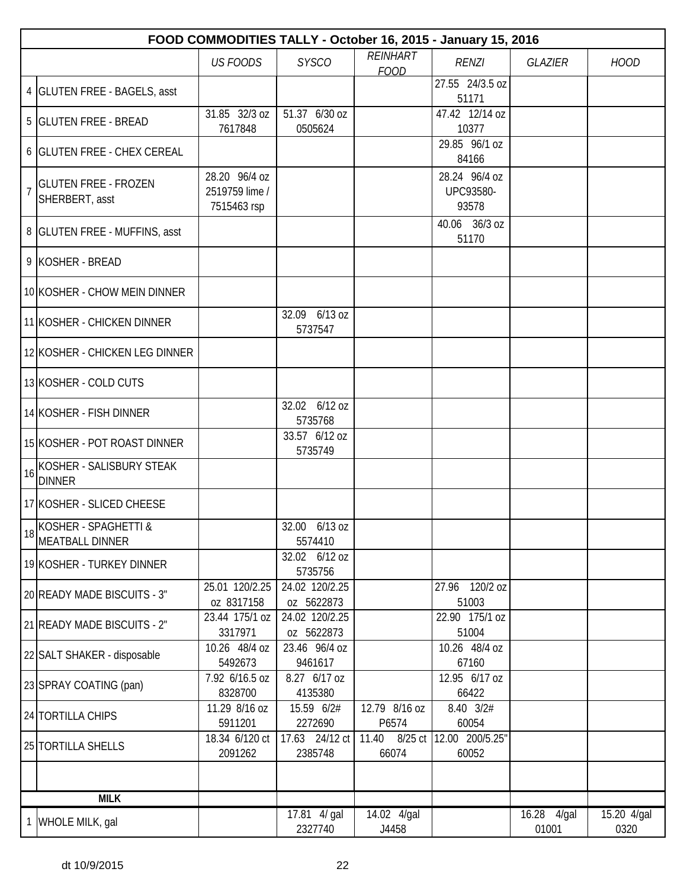|                |                                                       |                                                |                               |                                | FOOD COMMODITIES TALLY - October 16, 2015 - January 15, 2016 |                                   |                     |
|----------------|-------------------------------------------------------|------------------------------------------------|-------------------------------|--------------------------------|--------------------------------------------------------------|-----------------------------------|---------------------|
|                |                                                       | <b>US FOODS</b>                                | <b>SYSCO</b>                  | <b>REINHART</b><br><b>FOOD</b> | <b>RENZI</b>                                                 | <b>GLAZIER</b>                    | <b>HOOD</b>         |
|                | 4 GLUTEN FREE - BAGELS, asst                          |                                                |                               |                                | 27.55 24/3.5 oz<br>51171                                     |                                   |                     |
|                | 5 GLUTEN FREE - BREAD                                 | 31.85 32/3 oz<br>7617848                       | 51.37 6/30 oz<br>0505624      |                                | 47.42 12/14 oz<br>10377                                      |                                   |                     |
|                | 6 GLUTEN FREE - CHEX CEREAL                           |                                                |                               |                                | 29.85 96/1 oz<br>84166                                       |                                   |                     |
| $\overline{1}$ | <b>GLUTEN FREE - FROZEN</b><br>SHERBERT, asst         | 28.20 96/4 oz<br>2519759 lime /<br>7515463 rsp |                               |                                | 28.24 96/4 oz<br>UPC93580-<br>93578                          |                                   |                     |
|                | 8 GLUTEN FREE - MUFFINS, asst                         |                                                |                               |                                | 40.06 36/3 oz<br>51170                                       |                                   |                     |
|                | 9 KOSHER - BREAD                                      |                                                |                               |                                |                                                              |                                   |                     |
|                | 10 KOSHER - CHOW MEIN DINNER                          |                                                |                               |                                |                                                              |                                   |                     |
|                | 11 KOSHER - CHICKEN DINNER                            |                                                | 32.09 6/13 oz<br>5737547      |                                |                                                              |                                   |                     |
|                | 12 KOSHER - CHICKEN LEG DINNER                        |                                                |                               |                                |                                                              |                                   |                     |
|                | 13 KOSHER - COLD CUTS                                 |                                                |                               |                                |                                                              |                                   |                     |
|                | 14 KOSHER - FISH DINNER                               |                                                | 32.02 6/12 oz<br>5735768      |                                |                                                              |                                   |                     |
|                | 15 KOSHER - POT ROAST DINNER                          |                                                | 33.57 6/12 oz<br>5735749      |                                |                                                              |                                   |                     |
| 16             | KOSHER - SALISBURY STEAK<br><b>DINNER</b>             |                                                |                               |                                |                                                              |                                   |                     |
|                | 17 KOSHER - SLICED CHEESE                             |                                                |                               |                                |                                                              |                                   |                     |
|                | KOSHER - SPAGHETTI &<br><sup>18</sup> MEATBALL DINNER |                                                | 32.00<br>$6/13$ oz<br>5574410 |                                |                                                              |                                   |                     |
|                | 19 KOSHER - TURKEY DINNER                             |                                                | 32.02 6/12 oz<br>5735756      |                                |                                                              |                                   |                     |
|                | 20 READY MADE BISCUITS - 3"                           | 25.01 120/2.25<br>oz 8317158                   | 24.02 120/2.25<br>oz 5622873  |                                | 27.96 120/2 oz<br>51003                                      |                                   |                     |
|                | 21 READY MADE BISCUITS - 2"                           | 23.44 175/1 oz<br>3317971                      | 24.02 120/2.25<br>oz 5622873  |                                | 22.90 175/1 oz<br>51004                                      |                                   |                     |
|                | 22 SALT SHAKER - disposable                           | 10.26 48/4 oz<br>5492673                       | 23.46 96/4 oz<br>9461617      |                                | 10.26 48/4 oz<br>67160                                       |                                   |                     |
|                | 23 SPRAY COATING (pan)                                | 7.92 6/16.5 oz<br>8328700                      | 8.27 6/17 oz<br>4135380       |                                | 12.95 6/17 oz<br>66422                                       |                                   |                     |
|                | 24 TORTILLA CHIPS                                     | 11.29 8/16 oz<br>5911201                       | 15.59 6/2#<br>2272690         | 12.79 8/16 oz<br>P6574         | 8.40 3/2#<br>60054                                           |                                   |                     |
|                | 25 TORTILLA SHELLS                                    | 18.34 6/120 ct<br>2091262                      | 17.63 24/12 ct<br>2385748     | 11.40<br>8/25 ct<br>66074      | 12.00 200/5.25"<br>60052                                     |                                   |                     |
|                |                                                       |                                                |                               |                                |                                                              |                                   |                     |
|                | <b>MILK</b>                                           |                                                |                               |                                |                                                              |                                   |                     |
|                | 1 WHOLE MILK, gal                                     |                                                | 17.81 4/ gal<br>2327740       | 14.02 4/gal<br>J4458           |                                                              | $\overline{16.28}$ 4/gal<br>01001 | 15.20 4/gal<br>0320 |